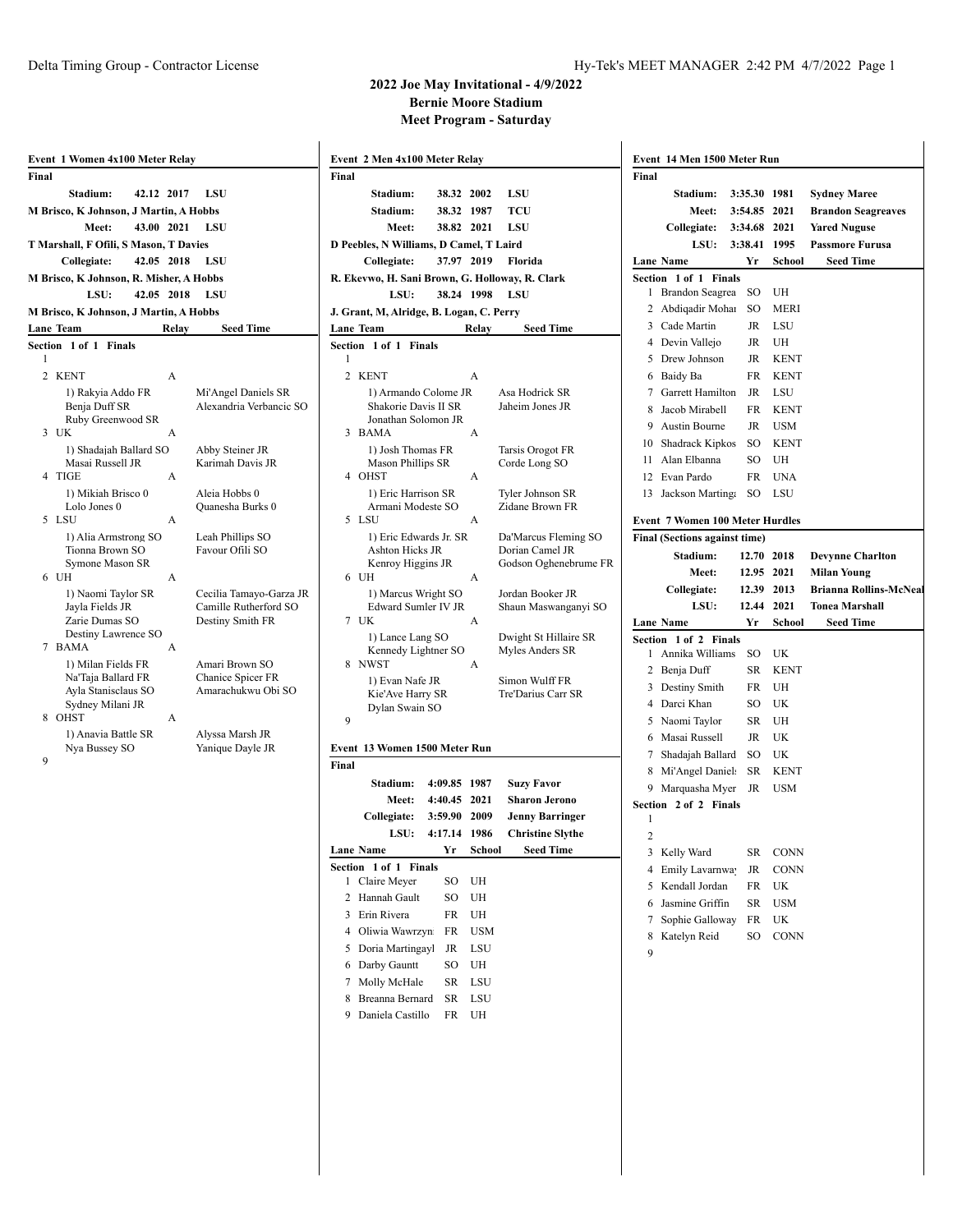## Delta Timing Group - Contractor License Hy-Tek's MEET MANAGER 2:42 PM 4/7/2022 Page 1

#### **2022 Joe May Invitational - 4/9/2022 Bernie Moore Stadium Meet Program - Saturday**

**Event 2 Men 4x100 Meter Relay**

|                | Event 1 Women 4x100 Meter Relay         |       |                                                |
|----------------|-----------------------------------------|-------|------------------------------------------------|
| Final          |                                         |       |                                                |
|                | Stadium:<br>42.12                       | 2017  | LSU                                            |
|                | M Brisco, K Johnson, J Martin, A Hobbs  |       |                                                |
|                | 43.00 2021<br>Meet:                     |       | LSU                                            |
|                | T Marshall, F Ofili, S Mason, T Davies  |       |                                                |
|                | Collegiate:<br>42.05 2018               |       | LSU                                            |
|                | M Brisco, K Johnson, R. Misher, A Hobbs |       |                                                |
|                | 42.05<br>LSU:                           | 2018  | LSU                                            |
|                | M Brisco, K Johnson, J Martin, A Hobbs  |       |                                                |
|                | Lane Team                               | Relay | <b>Seed Time</b>                               |
|                | Section 1 of 1<br><b>Finals</b>         |       |                                                |
| 1              |                                         |       |                                                |
| $\overline{c}$ | <b>KENT</b>                             | A     |                                                |
|                | 1) Rakyia Addo FR<br>Benja Duff SR      |       | Mi'Angel Daniels SR<br>Alexandria Verbancic SO |
|                | Ruby Greenwood SR                       |       |                                                |
| 3              | UK                                      | А     |                                                |
|                | 1) Shadajah Ballard SO                  |       | Abby Steiner JR                                |
| 4              | Masai Russell JR<br><b>TIGE</b>         |       | Karimah Davis JR                               |
|                |                                         | A     | Aleia Hobbs 0                                  |
|                | 1) Mikiah Brisco 0<br>Lolo Jones 0      |       | Quanesha Burks 0                               |
| 5              | LSU                                     | А     |                                                |
|                | 1) Alia Armstrong SO                    |       | Leah Phillips SO                               |
|                | Tionna Brown SO                         |       | Favour Ofili SO                                |
| 6              | Symone Mason SR<br>UH                   | A     |                                                |
|                | 1) Naomi Taylor SR                      |       | Cecilia Tamayo-Garza JR                        |
|                | Jayla Fields JR                         |       | Camille Rutherford SO                          |
|                | Zarie Dumas SO                          |       | Destiny Smith FR                               |
| 7              | Destiny Lawrence SO<br><b>BAMA</b>      | A     |                                                |
|                | 1) Milan Fields FR                      |       | Amari Brown SO                                 |
|                | Na'Taja Ballard FR                      |       | Chanice Spicer FR                              |
|                | Ayla Stanisclaus SO                     |       | Amarachukwu Obi SO                             |
| 8              | Sydney Milani JR<br><b>OHST</b>         | A     |                                                |
|                | 1) Anavia Battle SR                     |       | Alyssa Marsh JR                                |
|                | Nya Bussey SO                           |       | Yanique Dayle JR                               |
| 9              |                                         |       |                                                |
|                |                                         |       |                                                |

| Final          |                                          |               |               |                                                 |
|----------------|------------------------------------------|---------------|---------------|-------------------------------------------------|
|                | Stadium:                                 | 38.32         | 2002          | LSU                                             |
|                | Stadium:                                 | 38.32         | 1987          | TCU                                             |
|                | <b>Meet:</b>                             | 38.82         | 2021          | LSU                                             |
|                | D Peebles, N Williams, D Camel, T Laird  |               |               |                                                 |
|                | Collegiate:                              | 37.97         | 2019          | Florida                                         |
|                |                                          |               |               | R. Ekevwo, H. Sani Brown, G. Holloway, R. Clark |
|                | LSU:                                     | 38.24 1998    |               | LSU                                             |
|                | J. Grant, M, Alridge, B. Logan, C. Perry |               |               |                                                 |
|                | Lane Team                                |               | Relay         | <b>Seed Time</b>                                |
|                | Section 1 of 1                           | <b>Finals</b> |               |                                                 |
| 1              |                                          |               |               |                                                 |
| $\overline{c}$ | <b>KENT</b>                              |               | А             |                                                 |
|                | 1) Armando Colome JR                     |               |               | Asa Hodrick SR                                  |
|                | Shakorie Davis II SR                     |               |               | Jaheim Jones JR                                 |
|                | Jonathan Solomon JR                      |               |               |                                                 |
| 3              | BAMA                                     |               | A             |                                                 |
|                | 1) Josh Thomas FR                        |               |               | Tarsis Orogot FR                                |
| 4              | <b>Mason Phillips SR</b><br><b>OHST</b>  |               | А             | Corde Long SO                                   |
|                |                                          |               |               |                                                 |
|                | 1) Eric Harrison SR<br>Armani Modeste SO |               |               | Tyler Johnson SR<br>Zidane Brown FR             |
| 5              | LSU                                      |               | А             |                                                 |
|                | 1) Eric Edwards Jr. SR                   |               |               | Da'Marcus Fleming SO                            |
|                | Ashton Hicks JR                          |               |               | Dorian Camel JR                                 |
|                | Kenroy Higgins JR                        |               |               | Godson Oghenebrume FR                           |
| 6              | UH                                       |               | А             |                                                 |
|                | 1) Marcus Wright SO                      |               |               | Jordan Booker JR                                |
| 7              | Edward Sumler IV JR<br>UK                |               | A             | Shaun Maswanganyi SO                            |
|                | 1) Lance Lang SO                         |               |               | Dwight St Hillaire SR                           |
|                | Kennedy Lightner SO                      |               |               | Myles Anders SR                                 |
| 8              | <b>NWST</b>                              |               | А             |                                                 |
|                | 1) Evan Nafe JR                          |               |               | Simon Wulff FR                                  |
|                | Kie'Ave Harry SR                         |               |               | Tre'Darius Carr SR                              |
|                | Dylan Swain SO                           |               |               |                                                 |
| 9              |                                          |               |               |                                                 |
|                | Event 13 Women 1500 Meter Run            |               |               |                                                 |
| Final          |                                          |               |               |                                                 |
|                | Stadium:                                 | 4:09.85       | 1987          | Suzy Favor                                      |
|                | <b>Meet:</b>                             | 4:40.45       | 2021          | Sharon Jerono                                   |
|                | <b>Collegiate:</b>                       | 3:59.90       | 2009          | <b>Jenny Barringer</b>                          |
|                | LSU:                                     | 4:17.14       | 1986          | <b>Christine Slythe</b>                         |
|                |                                          | Yr            | <b>School</b> | <b>Seed Time</b>                                |
|                | <b>Lane Name</b>                         |               |               |                                                 |
| 1              | Section 1 of 1 Finals<br>Claire Meyer    | SO            | UH            |                                                 |
| 2              | Hannah Gault                             | SO            | UH            |                                                 |
| 3              | Erin Rivera                              | FR            | UH            |                                                 |
|                |                                          |               |               |                                                 |
| 4              | Oliwia Wawrzyn                           | FR            | <b>USM</b>    |                                                 |
| 5              | Doria Martingayl                         | JR            | LSU           |                                                 |
| 6              | Darby Gauntt                             | SO            | UH            |                                                 |
| 7              | Molly McHale                             | SR            | LSU           |                                                 |
| 8              | Breanna Bernard                          | SR            | LSU           |                                                 |
| 9              | Daniela Castillo                         | FR            | UH            |                                                 |
|                |                                          |               |               |                                                 |

| Final<br>Stadium:<br>3:35.30<br>1981<br><b>Sydney Maree</b><br>3:54.85<br><b>Meet:</b><br>2021<br><b>Brandon Seagreaves</b><br>Collegiate:<br>3:34.68<br>2021<br><b>Yared Nuguse</b><br>LSU:<br>3:38.41<br>1995<br><b>Passmore Furusa</b><br><b>Lane Name</b><br>Yr<br>School<br><b>Seed Time</b><br>Section 1 of 1 Finals<br>1<br>Brandon Seagrea<br>SO.<br>UH<br>2<br>Abdiqadir Mohar<br>SO<br>MERI<br>3<br>Cade Martin<br>LSU<br>JR<br>4<br>Devin Vallejo<br>JR<br>UH<br>5<br>Drew Johnson<br>JR<br><b>KENT</b><br>Baidy Ba<br>6<br>FR<br><b>KENT</b><br>7<br>Garrett Hamilton<br>JR<br>LSU<br>Jacob Mirabell<br>8<br>FR<br><b>KENT</b><br>Austin Bourne<br>JR<br>9<br>USM<br>10<br>Shadrack Kipkos<br>SO<br><b>KENT</b><br>Alan Elbanna<br>11<br>SO.<br>UH<br>12<br>Evan Pardo<br><b>UNA</b><br>FR<br>13<br>SO.<br>Jackson Martinga<br>LSU |                                        |  |                               | Event 14 Men 1500 Meter Run |  |  |
|------------------------------------------------------------------------------------------------------------------------------------------------------------------------------------------------------------------------------------------------------------------------------------------------------------------------------------------------------------------------------------------------------------------------------------------------------------------------------------------------------------------------------------------------------------------------------------------------------------------------------------------------------------------------------------------------------------------------------------------------------------------------------------------------------------------------------------------------|----------------------------------------|--|-------------------------------|-----------------------------|--|--|
|                                                                                                                                                                                                                                                                                                                                                                                                                                                                                                                                                                                                                                                                                                                                                                                                                                                |                                        |  |                               |                             |  |  |
|                                                                                                                                                                                                                                                                                                                                                                                                                                                                                                                                                                                                                                                                                                                                                                                                                                                |                                        |  |                               |                             |  |  |
|                                                                                                                                                                                                                                                                                                                                                                                                                                                                                                                                                                                                                                                                                                                                                                                                                                                |                                        |  |                               |                             |  |  |
|                                                                                                                                                                                                                                                                                                                                                                                                                                                                                                                                                                                                                                                                                                                                                                                                                                                |                                        |  |                               |                             |  |  |
|                                                                                                                                                                                                                                                                                                                                                                                                                                                                                                                                                                                                                                                                                                                                                                                                                                                |                                        |  |                               |                             |  |  |
|                                                                                                                                                                                                                                                                                                                                                                                                                                                                                                                                                                                                                                                                                                                                                                                                                                                |                                        |  |                               |                             |  |  |
|                                                                                                                                                                                                                                                                                                                                                                                                                                                                                                                                                                                                                                                                                                                                                                                                                                                |                                        |  |                               |                             |  |  |
|                                                                                                                                                                                                                                                                                                                                                                                                                                                                                                                                                                                                                                                                                                                                                                                                                                                |                                        |  |                               |                             |  |  |
|                                                                                                                                                                                                                                                                                                                                                                                                                                                                                                                                                                                                                                                                                                                                                                                                                                                |                                        |  |                               |                             |  |  |
|                                                                                                                                                                                                                                                                                                                                                                                                                                                                                                                                                                                                                                                                                                                                                                                                                                                |                                        |  |                               |                             |  |  |
|                                                                                                                                                                                                                                                                                                                                                                                                                                                                                                                                                                                                                                                                                                                                                                                                                                                |                                        |  |                               |                             |  |  |
|                                                                                                                                                                                                                                                                                                                                                                                                                                                                                                                                                                                                                                                                                                                                                                                                                                                |                                        |  |                               |                             |  |  |
|                                                                                                                                                                                                                                                                                                                                                                                                                                                                                                                                                                                                                                                                                                                                                                                                                                                |                                        |  |                               |                             |  |  |
|                                                                                                                                                                                                                                                                                                                                                                                                                                                                                                                                                                                                                                                                                                                                                                                                                                                |                                        |  |                               |                             |  |  |
|                                                                                                                                                                                                                                                                                                                                                                                                                                                                                                                                                                                                                                                                                                                                                                                                                                                |                                        |  |                               |                             |  |  |
|                                                                                                                                                                                                                                                                                                                                                                                                                                                                                                                                                                                                                                                                                                                                                                                                                                                |                                        |  |                               |                             |  |  |
|                                                                                                                                                                                                                                                                                                                                                                                                                                                                                                                                                                                                                                                                                                                                                                                                                                                |                                        |  |                               |                             |  |  |
|                                                                                                                                                                                                                                                                                                                                                                                                                                                                                                                                                                                                                                                                                                                                                                                                                                                |                                        |  |                               |                             |  |  |
|                                                                                                                                                                                                                                                                                                                                                                                                                                                                                                                                                                                                                                                                                                                                                                                                                                                |                                        |  |                               |                             |  |  |
|                                                                                                                                                                                                                                                                                                                                                                                                                                                                                                                                                                                                                                                                                                                                                                                                                                                |                                        |  |                               |                             |  |  |
|                                                                                                                                                                                                                                                                                                                                                                                                                                                                                                                                                                                                                                                                                                                                                                                                                                                |                                        |  |                               |                             |  |  |
|                                                                                                                                                                                                                                                                                                                                                                                                                                                                                                                                                                                                                                                                                                                                                                                                                                                |                                        |  |                               |                             |  |  |
| Stadium:<br>12.70<br>2018                                                                                                                                                                                                                                                                                                                                                                                                                                                                                                                                                                                                                                                                                                                                                                                                                      | <b>Event 7 Women 100 Meter Hurdles</b> |  |                               |                             |  |  |
| 2021<br><b>Meet:</b><br>12.95<br><b>Milan Young</b>                                                                                                                                                                                                                                                                                                                                                                                                                                                                                                                                                                                                                                                                                                                                                                                            | <b>Final (Sections against time)</b>   |  |                               |                             |  |  |
| 2013<br>Collegiate:<br>12.39                                                                                                                                                                                                                                                                                                                                                                                                                                                                                                                                                                                                                                                                                                                                                                                                                   | <b>Devynne Charlton</b>                |  |                               |                             |  |  |
| LSU:<br>12.44<br>2021<br><b>Tonea Marshall</b>                                                                                                                                                                                                                                                                                                                                                                                                                                                                                                                                                                                                                                                                                                                                                                                                 |                                        |  | <b>Brianna Rollins-McNeal</b> |                             |  |  |
| Yr<br><b>Seed Time</b><br><b>Lane Name</b><br>School                                                                                                                                                                                                                                                                                                                                                                                                                                                                                                                                                                                                                                                                                                                                                                                           |                                        |  |                               |                             |  |  |
|                                                                                                                                                                                                                                                                                                                                                                                                                                                                                                                                                                                                                                                                                                                                                                                                                                                |                                        |  |                               |                             |  |  |
|                                                                                                                                                                                                                                                                                                                                                                                                                                                                                                                                                                                                                                                                                                                                                                                                                                                | 1 of 2 Finals<br>Section               |  |                               |                             |  |  |
| Annika Williams<br>1<br>SO<br>UK                                                                                                                                                                                                                                                                                                                                                                                                                                                                                                                                                                                                                                                                                                                                                                                                               |                                        |  |                               |                             |  |  |
| 2<br>Benja Duff<br>SR<br><b>KENT</b>                                                                                                                                                                                                                                                                                                                                                                                                                                                                                                                                                                                                                                                                                                                                                                                                           |                                        |  |                               |                             |  |  |
| 3<br>Destiny Smith<br>FR<br>UH                                                                                                                                                                                                                                                                                                                                                                                                                                                                                                                                                                                                                                                                                                                                                                                                                 |                                        |  |                               |                             |  |  |
| Darci Khan<br>4<br>SO<br>UK                                                                                                                                                                                                                                                                                                                                                                                                                                                                                                                                                                                                                                                                                                                                                                                                                    |                                        |  |                               |                             |  |  |
| 5<br>Naomi Taylor<br>SR<br>UH                                                                                                                                                                                                                                                                                                                                                                                                                                                                                                                                                                                                                                                                                                                                                                                                                  |                                        |  |                               |                             |  |  |
| Masai Russell<br>6<br>JR<br>UK                                                                                                                                                                                                                                                                                                                                                                                                                                                                                                                                                                                                                                                                                                                                                                                                                 |                                        |  |                               |                             |  |  |
| Shadajah Ballard<br>SO<br>7<br>UK                                                                                                                                                                                                                                                                                                                                                                                                                                                                                                                                                                                                                                                                                                                                                                                                              |                                        |  |                               |                             |  |  |
| Mi'Angel Daniel:<br>SR<br>8<br><b>KENT</b>                                                                                                                                                                                                                                                                                                                                                                                                                                                                                                                                                                                                                                                                                                                                                                                                     |                                        |  |                               |                             |  |  |
| Marquasha Myer<br>JR<br>9<br>USM                                                                                                                                                                                                                                                                                                                                                                                                                                                                                                                                                                                                                                                                                                                                                                                                               |                                        |  |                               |                             |  |  |
| Section 2 of 2 Finals                                                                                                                                                                                                                                                                                                                                                                                                                                                                                                                                                                                                                                                                                                                                                                                                                          |                                        |  |                               |                             |  |  |
| 1                                                                                                                                                                                                                                                                                                                                                                                                                                                                                                                                                                                                                                                                                                                                                                                                                                              |                                        |  |                               |                             |  |  |
| 2                                                                                                                                                                                                                                                                                                                                                                                                                                                                                                                                                                                                                                                                                                                                                                                                                                              |                                        |  |                               |                             |  |  |
| Kelly Ward<br>SR<br>3<br>CONN                                                                                                                                                                                                                                                                                                                                                                                                                                                                                                                                                                                                                                                                                                                                                                                                                  |                                        |  |                               |                             |  |  |
| 4<br>Emily Lavarnway<br>JR<br>CONN                                                                                                                                                                                                                                                                                                                                                                                                                                                                                                                                                                                                                                                                                                                                                                                                             |                                        |  |                               |                             |  |  |
| 5<br>Kendall Jordan<br>FR<br>UK                                                                                                                                                                                                                                                                                                                                                                                                                                                                                                                                                                                                                                                                                                                                                                                                                |                                        |  |                               |                             |  |  |
| 6<br>Jasmine Griffin<br>USM<br>SR                                                                                                                                                                                                                                                                                                                                                                                                                                                                                                                                                                                                                                                                                                                                                                                                              |                                        |  |                               |                             |  |  |
| 7<br>Sophie Galloway<br>UK<br>FR<br>8<br>Katelyn Reid<br>SO<br>CONN                                                                                                                                                                                                                                                                                                                                                                                                                                                                                                                                                                                                                                                                                                                                                                            |                                        |  |                               |                             |  |  |
|                                                                                                                                                                                                                                                                                                                                                                                                                                                                                                                                                                                                                                                                                                                                                                                                                                                |                                        |  |                               |                             |  |  |
|                                                                                                                                                                                                                                                                                                                                                                                                                                                                                                                                                                                                                                                                                                                                                                                                                                                |                                        |  |                               |                             |  |  |
|                                                                                                                                                                                                                                                                                                                                                                                                                                                                                                                                                                                                                                                                                                                                                                                                                                                |                                        |  |                               |                             |  |  |
|                                                                                                                                                                                                                                                                                                                                                                                                                                                                                                                                                                                                                                                                                                                                                                                                                                                |                                        |  |                               |                             |  |  |
|                                                                                                                                                                                                                                                                                                                                                                                                                                                                                                                                                                                                                                                                                                                                                                                                                                                |                                        |  |                               |                             |  |  |
|                                                                                                                                                                                                                                                                                                                                                                                                                                                                                                                                                                                                                                                                                                                                                                                                                                                |                                        |  |                               |                             |  |  |
|                                                                                                                                                                                                                                                                                                                                                                                                                                                                                                                                                                                                                                                                                                                                                                                                                                                |                                        |  |                               |                             |  |  |
|                                                                                                                                                                                                                                                                                                                                                                                                                                                                                                                                                                                                                                                                                                                                                                                                                                                |                                        |  |                               |                             |  |  |
|                                                                                                                                                                                                                                                                                                                                                                                                                                                                                                                                                                                                                                                                                                                                                                                                                                                |                                        |  |                               |                             |  |  |
|                                                                                                                                                                                                                                                                                                                                                                                                                                                                                                                                                                                                                                                                                                                                                                                                                                                |                                        |  |                               |                             |  |  |
|                                                                                                                                                                                                                                                                                                                                                                                                                                                                                                                                                                                                                                                                                                                                                                                                                                                |                                        |  |                               |                             |  |  |
|                                                                                                                                                                                                                                                                                                                                                                                                                                                                                                                                                                                                                                                                                                                                                                                                                                                |                                        |  |                               |                             |  |  |
|                                                                                                                                                                                                                                                                                                                                                                                                                                                                                                                                                                                                                                                                                                                                                                                                                                                |                                        |  |                               |                             |  |  |
|                                                                                                                                                                                                                                                                                                                                                                                                                                                                                                                                                                                                                                                                                                                                                                                                                                                |                                        |  |                               |                             |  |  |
|                                                                                                                                                                                                                                                                                                                                                                                                                                                                                                                                                                                                                                                                                                                                                                                                                                                |                                        |  |                               |                             |  |  |
|                                                                                                                                                                                                                                                                                                                                                                                                                                                                                                                                                                                                                                                                                                                                                                                                                                                |                                        |  |                               |                             |  |  |
|                                                                                                                                                                                                                                                                                                                                                                                                                                                                                                                                                                                                                                                                                                                                                                                                                                                |                                        |  |                               |                             |  |  |
|                                                                                                                                                                                                                                                                                                                                                                                                                                                                                                                                                                                                                                                                                                                                                                                                                                                |                                        |  |                               |                             |  |  |
|                                                                                                                                                                                                                                                                                                                                                                                                                                                                                                                                                                                                                                                                                                                                                                                                                                                |                                        |  |                               |                             |  |  |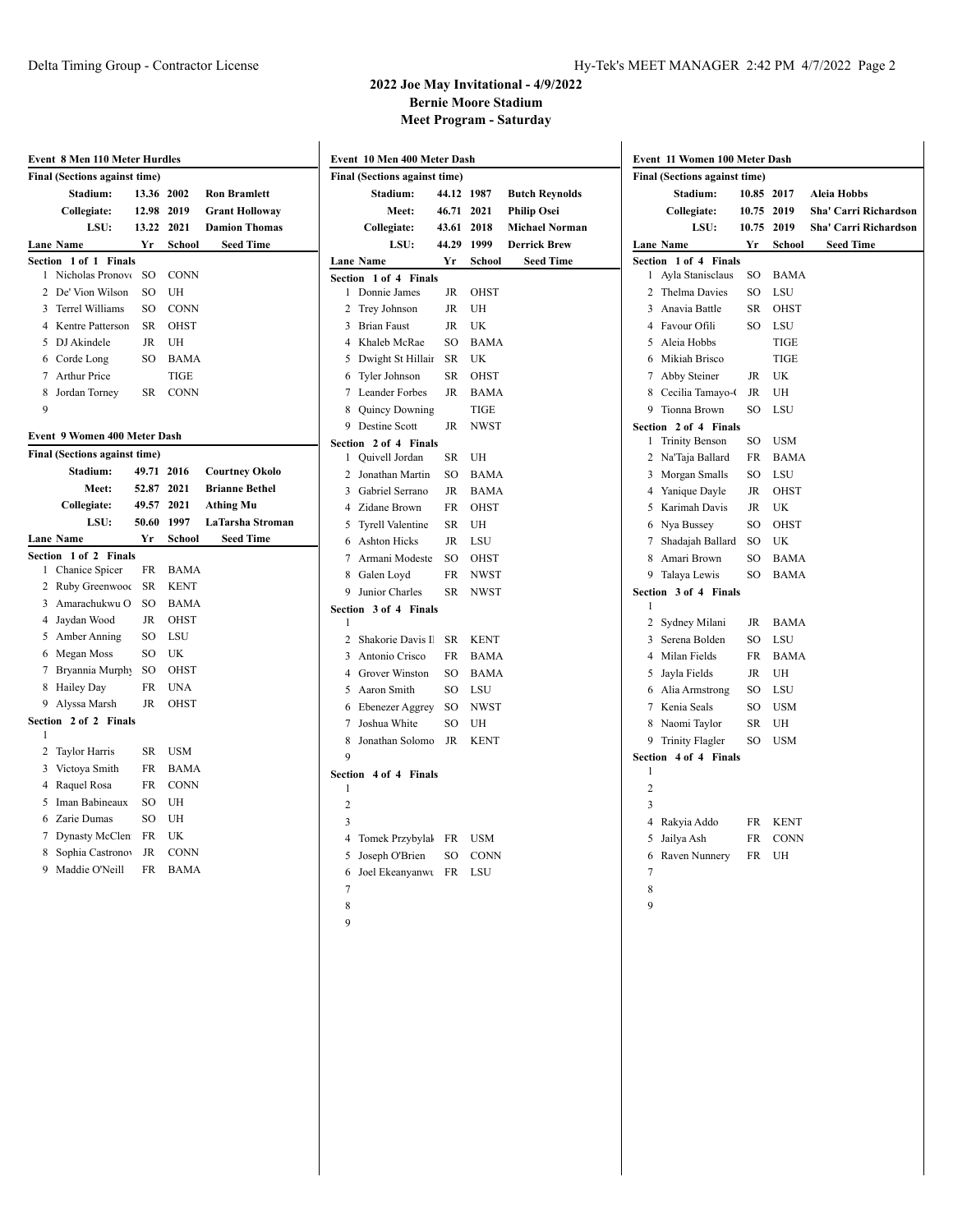## **2022 Joe May Invitational - 4/9/2022 Bernie Moore Stadium**

**Meet Program - Saturday**

| <b>Event 8 Men 110 Meter Hurdles</b>   |               |             |                       |                | Event 10 Men 400 Meter Dash          |           |             |                       |                | Event 11 Women 100 Meter Dash        |            |             |                       |
|----------------------------------------|---------------|-------------|-----------------------|----------------|--------------------------------------|-----------|-------------|-----------------------|----------------|--------------------------------------|------------|-------------|-----------------------|
| <b>Final (Sections against time)</b>   |               |             |                       |                | <b>Final (Sections against time)</b> |           |             |                       |                | <b>Final (Sections against time)</b> |            |             |                       |
| Stadium:                               |               | 13.36 2002  | <b>Ron Bramlett</b>   |                | Stadium:                             |           | 44.12 1987  | <b>Butch Reynolds</b> |                | Stadium:                             | 10.85 2017 |             | <b>Aleia Hobbs</b>    |
| Collegiate:                            |               | 12.98 2019  | <b>Grant Holloway</b> |                | Meet:                                |           | 46.71 2021  | <b>Philip Osei</b>    |                | Collegiate:                          | 10.75 2019 |             | Sha' Carri Richardson |
| LSU:                                   | 13.22         | 2021        | <b>Damion Thomas</b>  |                | Collegiate:                          | 43.61     | 2018        | <b>Michael Norman</b> |                | LSU:                                 | 10.75      | 2019        | Sha' Carri Richardson |
| Lane Name                              | Yr            | School      | <b>Seed Time</b>      |                | LSU:                                 | 44.29     | 1999        | <b>Derrick Brew</b>   |                | Lane Name                            | Yr         | School      | <b>Seed Time</b>      |
| Section 1 of 1 Finals                  |               |             |                       |                | Lane Name                            | Yr        | School      | <b>Seed Time</b>      |                | Section 1 of 4 Finals                |            |             |                       |
| 1 Nicholas Pronovo                     | <sub>SO</sub> | <b>CONN</b> |                       |                | Section 1 of 4 Finals                |           |             |                       |                | Ayla Stanisclaus                     | SO         | <b>BAMA</b> |                       |
| 2 De' Vion Wilson                      | <b>SO</b>     | UH          |                       |                | 1 Donnie James                       | JR        | <b>OHST</b> |                       | 2              | Thelma Davies                        | SO         | LSU         |                       |
| 3 Terrel Williams                      | SO            | <b>CONN</b> |                       |                | 2 Trey Johnson                       | JR        | UH          |                       | 3              | Anavia Battle                        | SR         | <b>OHST</b> |                       |
| 4 Kentre Patterson                     | SR            | <b>OHST</b> |                       |                | 3 Brian Faust                        | JR        | UK          |                       | 4              | Favour Ofili                         | SO         | LSU         |                       |
| 5 DJ Akindele                          | JR            | UH          |                       | 4              | Khaleb McRae                         | SO        | <b>BAMA</b> |                       | 5              | Aleia Hobbs                          |            | <b>TIGE</b> |                       |
| 6 Corde Long                           | SO            | BAMA        |                       |                | 5 Dwight St Hillair                  | SR        | UK          |                       | 6              | Mikiah Brisco                        |            | <b>TIGE</b> |                       |
| 7 Arthur Price                         |               | <b>TIGE</b> |                       |                | 6 Tyler Johnson                      | SR        | <b>OHST</b> |                       | 7              | Abby Steiner                         | JR         | UK          |                       |
| 8 Jordan Torney                        | SR            | <b>CONN</b> |                       |                | 7 Leander Forbes                     | JR        | <b>BAMA</b> |                       | 8              | Cecilia Tamayo-                      | JR         | UH          |                       |
| 9                                      |               |             |                       | 8              | <b>Quincy Downing</b>                |           | <b>TIGE</b> |                       | 9              | Tionna Brown                         |            | SO LSU      |                       |
|                                        |               |             |                       | 9              | Destine Scott                        | JR        | <b>NWST</b> |                       |                | Section 2 of 4 Finals                |            |             |                       |
| Event 9 Women 400 Meter Dash           |               |             |                       |                | Section 2 of 4 Finals                |           |             |                       |                | <b>Trinity Benson</b>                | SO         | <b>USM</b>  |                       |
| <b>Final (Sections against time)</b>   |               |             |                       |                | Quivell Jordan                       |           | SR UH       |                       | 2              | Na'Taja Ballard                      | FR         | <b>BAMA</b> |                       |
| Stadium:                               |               | 49.71 2016  | <b>Courtney Okolo</b> |                | 2 Jonathan Martin                    | SO        | <b>BAMA</b> |                       |                | 3 Morgan Smalls                      | SO         | LSU         |                       |
| Meet:                                  |               | 52.87 2021  | <b>Brianne Bethel</b> | 3              | Gabriel Serrano                      | JR        | <b>BAMA</b> |                       | 4              | Yanique Dayle                        | JR         | <b>OHST</b> |                       |
| Collegiate:                            |               | 49.57 2021  | Athing Mu             | 4              | Zidane Brown                         | FR        | <b>OHST</b> |                       | 5              | Karimah Davis                        | JR         | UK          |                       |
| LSU:                                   |               | 50.60 1997  | LaTarsha Stroman      | 5              | <b>Tyrell Valentine</b>              | SR        | UH          |                       | 6              | Nya Bussey                           | SO         | OHST        |                       |
| Lane Name                              | Yr            | School      | <b>Seed Time</b>      |                | 6 Ashton Hicks                       | JR        | LSU         |                       | 7              | Shadajah Ballard                     | SO         | UK          |                       |
| Section 1 of 2 Finals                  |               |             |                       |                | 7 Armani Modeste                     | SO        | <b>OHST</b> |                       | 8              | Amari Brown                          | SO         | <b>BAMA</b> |                       |
| 1 Chanice Spicer                       |               | FR BAMA     |                       | 8              | Galen Loyd                           | FR        | <b>NWST</b> |                       | 9              | Talaya Lewis                         | SO         | BAMA        |                       |
| 2 Ruby Greenwood                       | SR            | <b>KENT</b> |                       |                | 9 Junior Charles                     | SR        | NWST        |                       |                | Section 3 of 4 Finals                |            |             |                       |
| 3 Amarachukwu O                        | SO            | <b>BAMA</b> |                       |                | Section 3 of 4 Finals                |           |             |                       |                |                                      |            |             |                       |
| 4 Jaydan Wood                          | JR            | <b>OHST</b> |                       | -1             |                                      |           |             |                       | 2              | Sydney Milani                        | JR         | <b>BAMA</b> |                       |
| 5 Amber Anning                         | SO            | LSU         |                       | 2              | Shakorie Davis I                     | SR        | <b>KENT</b> |                       | 3              | Serena Bolden                        | SO         | LSU         |                       |
| 6 Megan Moss                           | SO            | UK          |                       | 3              | Antonio Crisco                       | FR        | <b>BAMA</b> |                       | 4              | Milan Fields                         | FR         | <b>BAMA</b> |                       |
| 7 Bryannia Murphy                      | SO            | <b>OHST</b> |                       |                | 4 Grover Winston                     | <b>SO</b> | <b>BAMA</b> |                       | 5              | Jayla Fields                         | JR         | UH          |                       |
| 8 Hailey Day                           | FR            | <b>UNA</b>  |                       |                | 5 Aaron Smith                        | SO        | LSU         |                       | 6              | Alia Armstrong                       | SO         | LSU         |                       |
| 9 Alyssa Marsh                         | JR            | <b>OHST</b> |                       | 6              | Ebenezer Aggrey                      | SO        | <b>NWST</b> |                       |                | 7 Kenia Seals                        | SO         | <b>USM</b>  |                       |
| Section 2 of 2 Finals                  |               |             |                       | 7              | Joshua White                         | SO        | UH          |                       | 8              | Naomi Taylor                         | SR         | UH          |                       |
|                                        |               |             |                       | 8              | Jonathan Solomo                      | JR        | <b>KENT</b> |                       |                | 9 Trinity Flagler                    | SO         | <b>USM</b>  |                       |
| 2 Taylor Harris                        | SR            | <b>USM</b>  |                       | 9              |                                      |           |             |                       |                | Section 4 of 4 Finals                |            |             |                       |
| 3 Victoya Smith                        | FR            | BAMA        |                       |                | Section 4 of 4 Finals                |           |             |                       | -1             |                                      |            |             |                       |
| 4 Raquel Rosa                          | FR            | <b>CONN</b> |                       | 1              |                                      |           |             |                       | $\overline{c}$ |                                      |            |             |                       |
| 5 Iman Babineaux                       | SO.           | UH          |                       | $\overline{2}$ |                                      |           |             |                       | 3              |                                      |            |             |                       |
| 6 Zarie Dumas                          | SO            | UH          |                       | 3              |                                      |           |             |                       |                | 4 Rakyia Addo                        |            | FR KENT     |                       |
| 7 Dynasty McClen FR UK                 |               |             |                       |                | 4 Tomek Przybylał FR USM             |           |             |                       |                | 5 Jailya Ash                         |            | FR CONN     |                       |
| 8 Sophia Castrono <sup>1</sup> JR CONN |               |             |                       |                | 5 Joseph O'Brien                     |           | SO CONN     |                       |                | 6 Raven Nunnery                      |            | FR UH       |                       |
| 9 Maddie O'Neill                       |               | FR BAMA     |                       |                | 6 Joel Ekeanyanwu FR LSU             |           |             |                       | 7              |                                      |            |             |                       |
|                                        |               |             |                       | 7              |                                      |           |             |                       | 8              |                                      |            |             |                       |
|                                        |               |             |                       | 8              |                                      |           |             |                       | 9              |                                      |            |             |                       |
|                                        |               |             |                       | 9              |                                      |           |             |                       |                |                                      |            |             |                       |
|                                        |               |             |                       |                |                                      |           |             |                       |                |                                      |            |             |                       |
|                                        |               |             |                       |                |                                      |           |             |                       |                |                                      |            |             |                       |
|                                        |               |             |                       |                |                                      |           |             |                       |                |                                      |            |             |                       |
|                                        |               |             |                       |                |                                      |           |             |                       |                |                                      |            |             |                       |
|                                        |               |             |                       |                |                                      |           |             |                       |                |                                      |            |             |                       |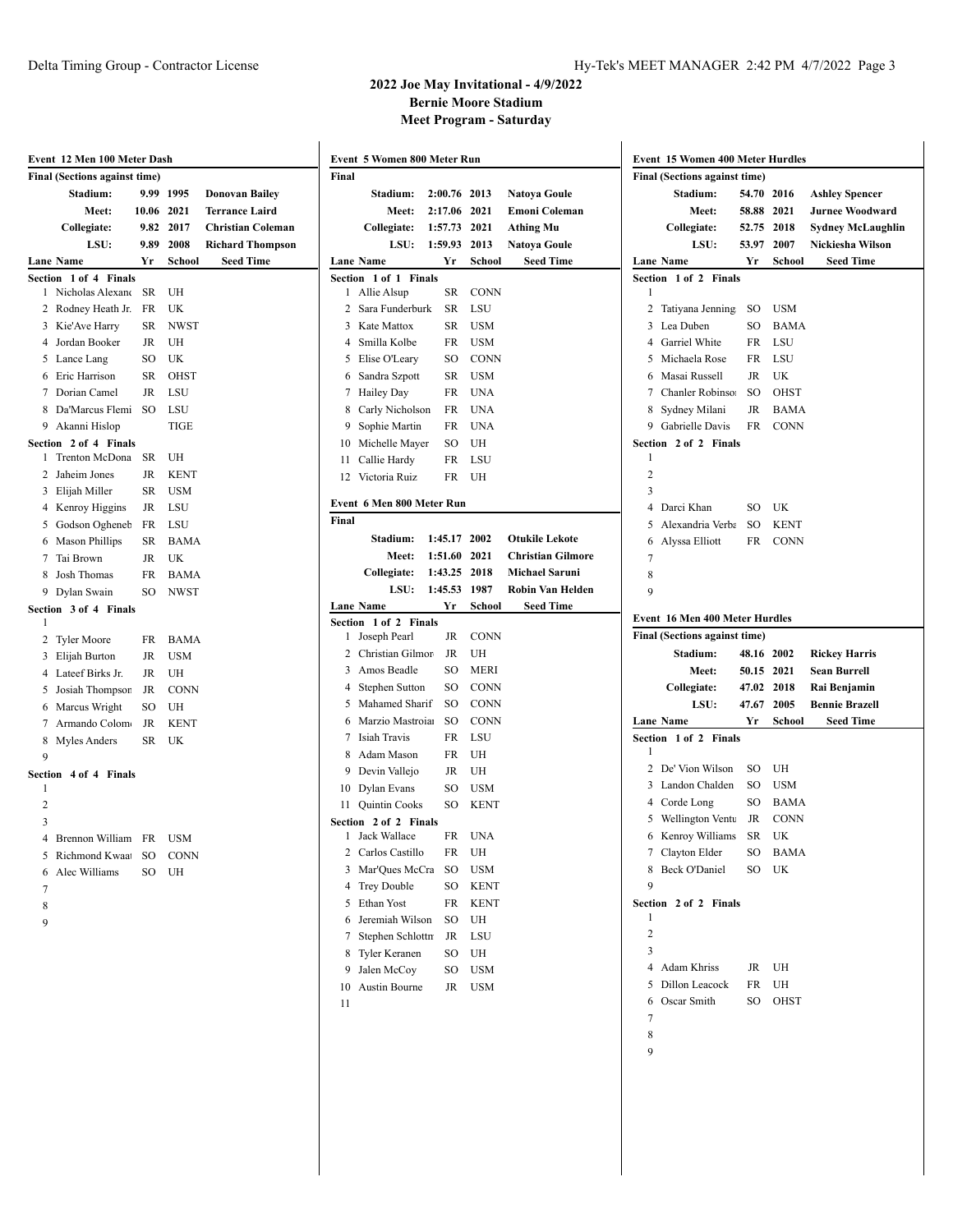## Delta Timing Group - Contractor License Hy-Tek's MEET MANAGER 2:42 PM 4/7/2022 Page 3

#### **2022 Joe May Invitational - 4/9/2022 Bernie Moore Stadium Meet Program - Saturday**

| Event 12 Men 100 Meter Dash                           | <b>Event 5 Women 800 Meter Run</b>                        | <b>Event 15 Women 400 Meter Hurdles</b>               |
|-------------------------------------------------------|-----------------------------------------------------------|-------------------------------------------------------|
| <b>Final (Sections against time)</b>                  | Final                                                     | Final (Sections against time)                         |
| Stadium:<br>9.99 1995<br><b>Donovan Bailey</b>        | 2:00.76 2013<br><b>Natova Goule</b><br>Stadium:           | Stadium:<br>54.70 2016<br><b>Ashley Spencer</b>       |
| <b>Terrance Laird</b><br>Meet:<br>10.06 2021          | Meet:<br>2:17.06 2021<br><b>Emoni Coleman</b>             | Meet:<br>58.88 2021<br><b>Jurnee Woodward</b>         |
| 9.82 2017<br>Collegiate:<br><b>Christian Coleman</b>  | 1:57.73 2021<br>Collegiate:<br><b>Athing Mu</b>           | Collegiate:<br>52.75 2018<br><b>Sydney McLaughlin</b> |
| LSU:<br>9.89 2008<br><b>Richard Thompson</b>          | LSU:<br>1:59.93 2013<br><b>Natoya Goule</b>               | LSU:<br>53.97 2007<br>Nickiesha Wilson                |
| School<br><b>Seed Time</b><br><b>Lane Name</b><br>Yr  | Yr<br><b>Lane Name</b><br>School<br><b>Seed Time</b>      | <b>Seed Time</b><br>Lane Name<br>Yr<br>School         |
| Section 1 of 4 Finals                                 | Section 1 of 1 Finals                                     | Section 1 of 2 Finals                                 |
| 1 Nicholas Alexano<br>SR<br>UH                        | <b>CONN</b><br>1 Allie Alsup<br>SR                        |                                                       |
| 2 Rodney Heath Jr. FR UK                              | 2 Sara Funderburk<br>SR<br>LSU                            | USM<br>2 Tatiyana Jenning<br>SO                       |
| 3 Kie'Ave Harry<br>SR NWST                            | 3 Kate Mattox<br>SR USM                                   | 3 Lea Duben<br><b>BAMA</b><br>SO                      |
| 4 Jordan Booker<br>JR<br>UH                           | 4 Smilla Kolbe<br><b>USM</b><br>FR                        | LSU<br>4 Garriel White<br>FR                          |
| UK<br>5 Lance Lang<br>SO                              | 5 Elise O'Leary<br><b>CONN</b><br>SO                      | LSU<br>FR<br>5 Michaela Rose                          |
| 6 Eric Harrison<br><b>OHST</b><br>SR                  | <b>USM</b><br>6 Sandra Szpott<br>SR                       | UK<br>6 Masai Russell<br>JR                           |
| 7 Dorian Camel<br>LSU<br>JR                           | 7 Hailey Day<br>FR UNA                                    | 7 Chanler Robinso:<br>SO<br><b>OHST</b>               |
| 8 Da'Marcus Flemi SO<br>LSU                           | 8 Carly Nicholson<br>UNA<br>FR                            | <b>BAMA</b><br>8 Sydney Milani<br>JR                  |
| 9 Akanni Hislop<br><b>TIGE</b>                        | 9 Sophie Martin<br>FR<br>UNA                              | 9 Gabrielle Davis<br>FR CONN                          |
| Section 2 of 4 Finals<br>1 Trenton McDona<br>UH<br>SR | 10 Michelle Mayer<br>SO<br>UH                             | Section 2 of 2 Finals                                 |
| 2 Jaheim Jones<br>JR<br>KENT                          | LSU<br>11 Callie Hardy<br>FR<br>12 Victoria Ruiz<br>FR UH | $\overline{c}$                                        |
| 3 Elijah Miller<br><b>USM</b><br>SR                   |                                                           | 3                                                     |
| 4 Kenroy Higgins<br>JR<br>LSU                         | Event 6 Men 800 Meter Run                                 | 4 Darci Khan<br>UK<br>SO                              |
| 5 Godson Ogheneb<br>FR<br>LSU                         | Final                                                     | <b>KENT</b><br>SO<br>5 Alexandria Verba               |
| 6 Mason Phillips<br>SR BAMA                           | 1:45.17 2002<br><b>Otukile Lekote</b><br><b>Stadium:</b>  | 6 Alyssa Elliott<br>FR CONN                           |
| UK<br>7 Tai Brown<br>JR                               | 1:51.60 2021<br>Meet:<br><b>Christian Gilmore</b>         | 7                                                     |
| 8 Josh Thomas<br><b>BAMA</b><br>FR                    | 1:43.25 2018<br>Collegiate:<br><b>Michael Saruni</b>      | 8                                                     |
| 9 Dylan Swain<br>SO NWST                              | LSU:<br>1:45.53 1987<br>Robin Van Helden                  | 9                                                     |
| Section 3 of 4 Finals                                 | Yr<br>School<br><b>Lane Name</b><br><b>Seed Time</b>      |                                                       |
|                                                       |                                                           |                                                       |
| -1                                                    | Section 1 of 2 Finals                                     | <b>Event 16 Men 400 Meter Hurdles</b>                 |
| 2 Tyler Moore<br>FR<br>BAMA                           | <b>CONN</b><br>1 Joseph Pearl<br>JR                       | Final (Sections against time)                         |
| <b>USM</b><br>3 Elijah Burton<br>JR                   | 2 Christian Gilmor<br>JR<br>UH                            | Stadium:<br>48.16 2002<br><b>Rickey Harris</b>        |
| UH<br>4 Lateef Birks Jr.<br>JR                        | 3 Amos Beadle<br><b>MERI</b><br>SO                        | Meet:<br>50.15 2021<br><b>Sean Burrell</b>            |
| 5 Josiah Thompsor<br><b>CONN</b><br>JR                | 4 Stephen Sutton<br><b>CONN</b><br>SO                     | Collegiate:<br>47.02 2018<br>Rai Benjamin             |
| 6 Marcus Wright<br>SO<br>UH                           | 5 Mahamed Sharif<br>SO.<br><b>CONN</b>                    | LSU:<br><b>Bennie Brazell</b><br>47.67<br>2005        |
| 7 Armando Colom<br>JR<br><b>KENT</b>                  | <sub>SO</sub><br><b>CONN</b><br>6 Marzio Mastroiai        | Lane Name<br>Yr<br>School<br><b>Seed Time</b>         |
| SR UK<br>8 Myles Anders                               | 7 Isiah Travis<br>LSU<br>FR                               | Section 1 of 2 Finals                                 |
| 9                                                     | 8 Adam Mason<br>FR<br>UH                                  |                                                       |
| Section 4 of 4 Finals                                 | 9 Devin Vallejo<br>JR<br>UH                               | 2 De' Vion Wilson<br>SO<br>UH                         |
| $\overline{1}$                                        | 10 Dylan Evans<br><b>USM</b><br>SO                        | 3 Landon Chalden<br>SO<br><b>USM</b>                  |
| $\overline{2}$                                        | <b>KENT</b><br>11 Quintin Cooks<br>SO                     | 4 Corde Long<br>SO<br><b>BAMA</b>                     |
| 3                                                     | Section 2 of 2 Finals                                     | 5 Wellington Ventu JR CONN                            |
| 4 Brennon William FR USM                              | FR UNA<br>1 Jack Wallace                                  | 6 Kenroy Williams SR UK                               |
| 5 Richmond Kwaa SO<br><b>CONN</b>                     | 2 Carlos Castillo<br>FR UH                                | 7 Clayton Elder<br>SO BAMA<br>SO UK                   |
| 6 Alec Williams<br>SO UH                              | 3 Mar'Ques McCra<br>SO<br>USM<br>SO KENT                  | 8 Beck O'Daniel<br>9                                  |
| 7                                                     | 4 Trey Double                                             | Section 2 of 2 Finals                                 |
| 8                                                     | 5 Ethan Yost<br>FR KENT<br>6 Jeremiah Wilson<br>SO<br>UH  |                                                       |
| 9                                                     | 7 Stephen Schlottn<br>JR<br>LSU                           | $\overline{2}$                                        |
|                                                       | 8 Tyler Keranen<br>SO UH                                  |                                                       |
|                                                       | 9 Jalen McCoy<br>SO USM                                   | 4 Adam Khriss<br>JR UH                                |
|                                                       | 10 Austin Bourne<br>JR USM                                | 5 Dillon Leacock<br>FR UH                             |
|                                                       | 11                                                        | 6 Oscar Smith<br>SO OHST                              |
|                                                       |                                                           |                                                       |
|                                                       |                                                           | 8                                                     |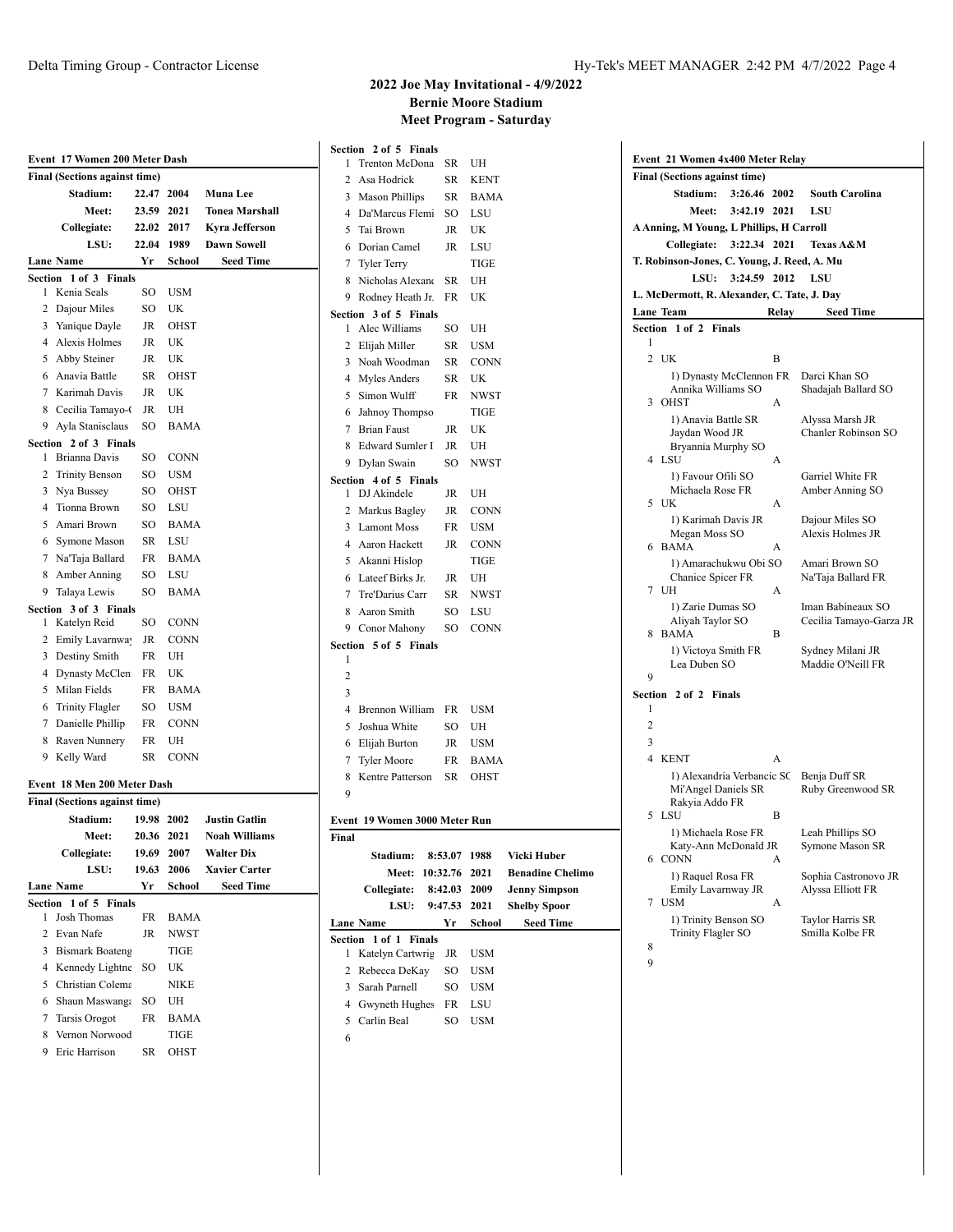| <b>Final (Sections against time)</b> |                             |           |             |                       |  |  |  |  |
|--------------------------------------|-----------------------------|-----------|-------------|-----------------------|--|--|--|--|
|                                      | Stadium:                    | 22.47     | 2004        | <b>Muna Lee</b>       |  |  |  |  |
|                                      | Meet:                       | 23.59     | 2021        | <b>Tonea Marshall</b> |  |  |  |  |
|                                      | Collegiate:                 | 22.02     | 2017        | <b>Kyra Jefferson</b> |  |  |  |  |
|                                      | LSU:                        | 22.04     | 1989        | <b>Dawn Sowell</b>    |  |  |  |  |
| Lane Name                            |                             | Yr        | School      | <b>Seed Time</b>      |  |  |  |  |
|                                      | Section 1 of 3 Finals       |           |             |                       |  |  |  |  |
| 1                                    | Kenia Seals                 | SO        | <b>USM</b>  |                       |  |  |  |  |
| 2                                    | Dajour Miles                | SO        | UK          |                       |  |  |  |  |
|                                      | 3 Yanique Dayle             | JR        | OHST        |                       |  |  |  |  |
| 4                                    | Alexis Holmes               | JR        | UK          |                       |  |  |  |  |
|                                      | 5 Abby Steiner              | JR        | UK          |                       |  |  |  |  |
|                                      | 6 Anavia Battle             | <b>SR</b> | OHST        |                       |  |  |  |  |
|                                      | 7 Karimah Davis             | <b>JR</b> | UK          |                       |  |  |  |  |
| 8                                    | Cecilia Tamayo-             | JR        | UH          |                       |  |  |  |  |
| 9                                    | Ayla Stanisclaus            | SO        | <b>BAMA</b> |                       |  |  |  |  |
|                                      | Section 2 of 3 Finals       |           |             |                       |  |  |  |  |
| 1                                    | Brianna Davis               | SO        | CONN        |                       |  |  |  |  |
| 2                                    | <b>Trinity Benson</b>       | SO        | USM         |                       |  |  |  |  |
| 3                                    | Nya Bussey                  | SO        | <b>OHST</b> |                       |  |  |  |  |
|                                      | 4 Tionna Brown              | SO        | LSU         |                       |  |  |  |  |
|                                      | 5 Amari Brown               | SO        | <b>BAMA</b> |                       |  |  |  |  |
| 6                                    | Symone Mason                | SR        | LSU         |                       |  |  |  |  |
|                                      | 7 Na'Taja Ballard           | FR        | <b>BAMA</b> |                       |  |  |  |  |
| 8                                    | Amber Anning                | SO        | LSU         |                       |  |  |  |  |
| 9                                    | Talaya Lewis                | SO        | BAMA        |                       |  |  |  |  |
|                                      | Section 3 of 3 Finals       |           |             |                       |  |  |  |  |
| 1                                    | Katelyn Reid                | SO        | CONN        |                       |  |  |  |  |
| 2                                    | Emily Lavarnwa <sup>y</sup> | JR        | CONN        |                       |  |  |  |  |
| 3                                    | Destiny Smith               | FR        | UH          |                       |  |  |  |  |
| 4                                    | Dynasty McClen              | FR        | UK          |                       |  |  |  |  |

 Milan Fields FR BAMA Trinity Flagler SO USM Danielle Phillip FR CONN Raven Nunnery FR UH Kelly Ward SR CONN

**Event 18 Men 200 Meter Dash Final (Sections against time)**

 Josh Thomas FR BAMA Evan Nafe JR NWST Bismark Boateng TIGE 4 Kennedy Lightne SO UK 5 Christian Coleman NIKE 6 Shaun Maswanga SO UH Tarsis Orogot FR BAMA Vernon Norwood TIGE Eric Harrison SR OHST

|      | 2 Asa Hodrick            |     | SR KENT |
|------|--------------------------|-----|---------|
|      |                          |     |         |
|      | 3 Mason Phillips SR BAMA |     |         |
| hall | 4 Da'Marcus Flemi SO LSU |     |         |
| son  | 5 Tai Brown              | JR. | – UK    |
| П    | 6 Dorian Camel           | JR. | – LSU   |
| ne   | 7 Tyler Terry            |     | TIGE    |

**Section 2 of 5 Finals**

1 Trenton McDona SR UH

| 9              | Rodney Heath Jr.      | FR   | UK          |
|----------------|-----------------------|------|-------------|
|                | Section 3 of 5 Finals |      |             |
| 1              | Alec Williams         | SO   | UH          |
| $\overline{2}$ | Elijah Miller         | SR – | USM         |
| 3              | Noah Woodman          | SR – | <b>CONN</b> |
|                | 4 Myles Anders        | SR – | UK          |
|                | 5 Simon Wulff         | FR   | <b>NWST</b> |
| 6              | Jahnoy Thompso        |      | <b>TIGE</b> |
| 7              | <b>Brian Faust</b>    | JR   | UK          |
| 8              | Edward Sumler I       | JR.  | UH          |
| 9              | Dylan Swain           | SO.  | <b>NWST</b> |
|                | Section 4 of 5 Finals |      |             |
| 1.             | DJ Akindele           | JR   | UH          |
|                | 2 Markus Bagley       | JR   | <b>CONN</b> |
| 3              | Lamont Moss           | FR 1 | <b>USM</b>  |
|                | 4 Aaron Hackett       | JR   | <b>CONN</b> |
|                | 5 Akanni Hislop       |      | <b>TIGE</b> |
|                | 6 Lateef Birks Jr.    | JR   | UH          |
|                | 7 Tre'Darius Carr     | SR – | <b>NWST</b> |
| 8              | Aaron Smith           | SO.  | LSU         |
| 9              | Conor Mahony          | SO - | <b>CONN</b> |
|                | Section 5 of 5 Finals |      |             |
| 1              |                       |      |             |
| $\overline{c}$ |                       |      |             |
| 3              |                       |      |             |
| 4              | Brennon William       | FR   | USM         |
| 5              | Joshua White          | SO - | UH          |
| 6              | Elijah Burton         |      | JR USM      |
| 7              | <b>Tyler Moore</b>    | FR 1 | <b>BAMA</b> |
| 8              | Kentre Patterson      | SR   | OHST        |
|                |                       |      |             |

|    | 1 mai (Sections against anne) |            |             |                      |       |                               |                     |            |                |
|----|-------------------------------|------------|-------------|----------------------|-------|-------------------------------|---------------------|------------|----------------|
|    | Stadium:                      | 19.98 2002 |             | <b>Justin Gatlin</b> |       | Event 19 Women 3000 Meter Run |                     |            |                |
|    | Meet:                         | 20.36 2021 |             | <b>Noah Williams</b> | Final |                               |                     |            |                |
|    | Collegiate:                   | 19.69 2007 |             | <b>Walter Dix</b>    |       | Stadium:                      | 8:53.07 1988        |            | Vicki Hı       |
|    | LSU:                          |            | 19.63 2006  | <b>Xavier Carter</b> |       |                               | Meet: 10:32.76 2021 |            | Benadin        |
|    | <b>Lane Name</b>              | Yr         | School      | <b>Seed Time</b>     |       | Collegiate:                   | 8:42.03 2009        |            | <b>Jenny S</b> |
|    | Section 1 of 5 Finals         |            |             |                      |       | LSU:                          | 9:47.53 2021        |            | Shelby S       |
|    | 1 Josh Thomas                 | FR.        | <b>BAMA</b> |                      |       | <b>Lane Name</b>              | Yr                  | School     | Seed           |
|    | 2 Evan Nafe                   | JR         | <b>NWST</b> |                      |       | Section 1 of 1 Finals         |                     |            |                |
|    | 3 Bismark Boateng             |            | TIGE        |                      |       | 1 Katelyn Cartwrig            | JR                  | <b>USM</b> |                |
|    | 4 Kennedy Lightne SO          |            | UK.         |                      |       | 2 Rebecca DeKay               | SO                  | <b>USM</b> |                |
| 5. | Christian Colema              |            | NIKE        |                      | 3     | Sarah Parnell                 | SO                  | <b>USM</b> |                |
| 6  | Shaun Maswang:                | SO.        | UH          |                      |       | 4 Gwyneth Hughes              | FR                  | LSU        |                |
|    | Tarsis Orogot                 | FR.        | BAMA        |                      |       | Carlin Beal                   | SO.                 | <b>USM</b> |                |
|    | Vernon Norwood                |            | TIGE        |                      | 6     |                               |                     |            |                |
|    |                               |            |             |                      |       |                               |                     |            |                |

|                | Event 21 Women 4x400 Meter Relay            |       |                                           |
|----------------|---------------------------------------------|-------|-------------------------------------------|
|                | <b>Final (Sections against time)</b>        |       |                                           |
|                | Stadium:<br>3:26.46                         | 2002  | South Carolina                            |
|                | 3:42.19<br><b>Meet:</b>                     | 2021  | LSU                                       |
|                | A Anning, M Young, L Phillips, H Carroll    |       |                                           |
|                | Collegiate:<br>3:22.34                      | 2021  | <b>Texas A&amp;M</b>                      |
|                | T. Robinson-Jones, C. Young, J. Reed, A. Mu |       |                                           |
|                | 3:24.59 2012<br>LSU:                        |       | LSU                                       |
|                | L. McDermott, R. Alexander, C. Tate, J. Day |       |                                           |
|                | Lane Team                                   | Relay | <b>Seed Time</b>                          |
| Section        | 1 of 2<br><b>Finals</b>                     |       |                                           |
| 1              |                                             |       |                                           |
| $\overline{c}$ | UK                                          | в     |                                           |
|                | 1) Dynasty McClennon FR                     |       | Darci Khan SO                             |
|                | Annika Williams SO                          |       | Shadajah Ballard SO                       |
| 3              | <b>OHST</b>                                 | А     |                                           |
|                | 1) Anavia Battle SR                         |       | Alyssa Marsh JR                           |
|                | Jaydan Wood JR                              |       | Chanler Robinson SO                       |
| 4              | Bryannia Murphy SO<br>LSU                   | А     |                                           |
|                | 1) Favour Ofili SO                          |       | Garriel White FR                          |
|                | Michaela Rose FR                            |       | Amber Anning SO                           |
| 5              | UK                                          | А     |                                           |
|                | 1) Karimah Davis JR                         |       | Dajour Miles SO                           |
|                | Megan Moss SO                               |       | Alexis Holmes JR                          |
| 6              | <b>BAMA</b>                                 | А     |                                           |
|                | 1) Amarachukwu Obi SO                       |       | Amari Brown SO                            |
| 7              | Chanice Spicer FR<br>UH                     | А     | Na'Taja Ballard FR                        |
|                | 1) Zarie Dumas SO                           |       | Iman Babineaux SO                         |
|                | Aliyah Taylor SO                            |       | Cecilia Tamayo-Garza JR                   |
| 8              | BAMA                                        | B     |                                           |
|                | 1) Victoya Smith FR                         |       | Sydney Milani JR                          |
|                | Lea Duben SO                                |       | Maddie O'Neill FR                         |
| 9              |                                             |       |                                           |
| 1              | <b>Section 2 of 2 Finals</b>                |       |                                           |
| 2              |                                             |       |                                           |
| 3              |                                             |       |                                           |
| 4              | <b>KENT</b>                                 | А     |                                           |
|                | 1) Alexandria Verbancic SC                  |       | Benja Duff SR                             |
|                | Mi'Angel Daniels SR                         |       | Ruby Greenwood SR                         |
|                | Rakyia Addo FR                              |       |                                           |
| 5              | LSU                                         | B     |                                           |
|                | 1) Michaela Rose FR                         |       | Leah Phillips SO                          |
|                | Katy-Ann McDonald JR<br><b>CONN</b>         |       | Symone Mason SR                           |
| 6              |                                             | Α     |                                           |
|                | 1) Raquel Rosa FR<br>Emily Lavarnway JR     |       | Sophia Castronovo JR<br>Alyssa Elliott FR |
| 7              | USM                                         | А     |                                           |
|                | 1) Trinity Benson SO                        |       | Taylor Harris SR                          |
|                | Trinity Flagler SO                          |       | Smilla Kolbe FR                           |
| 8              |                                             |       |                                           |
| 9              |                                             |       |                                           |

#### **2022 Joe May Invitational - 4/9/2022 Bernie Moore Stadium Meet Program - Saturday**

| 7              | Tyler Terry                               |              | TIGE        |                         |
|----------------|-------------------------------------------|--------------|-------------|-------------------------|
| 8              | Nicholas Alexano                          | SR           | UH          |                         |
| 9              | Rodney Heath Jr.                          | FR           | UK          |                         |
| Section        | 3 of 5 Finals                             |              |             |                         |
| 1              | Alec Williams                             | SO.          | UH          |                         |
| 2              | Elijah Miller                             | SR           | <b>USM</b>  |                         |
|                | 3 Noah Woodman                            | SR           | <b>CONN</b> |                         |
|                | 4 Myles Anders                            | SR           | UK          |                         |
| 5              | Simon Wulff                               | FR           | <b>NWST</b> |                         |
| 6              | Jahnoy Thompso                            |              | <b>TIGE</b> |                         |
|                | 7 Brian Faust                             | JR           | UK          |                         |
| 8              | <b>Edward Sumler I</b>                    | JR           | UH          |                         |
| 9              | Dylan Swain                               | SO.          | <b>NWST</b> |                         |
|                | Section 4 of 5 Finals                     |              |             |                         |
| 1              | DJ Akindele                               | JR           | UH          |                         |
| 2              | Markus Bagley                             | JR           | <b>CONN</b> |                         |
| 3              | <b>Lamont Moss</b>                        | FR           | <b>USM</b>  |                         |
| 4              | Aaron Hackett                             | JR           | <b>CONN</b> |                         |
| 5              | Akanni Hislop                             |              | <b>TIGE</b> |                         |
|                | 6 Lateef Birks Jr.                        | JR           | UH          |                         |
| $\overline{7}$ | Tre'Darius Carr                           | SR           | <b>NWST</b> |                         |
| 8              | Aaron Smith                               | SO           | LSU         |                         |
|                | 9 Conor Mahony                            | SO           | <b>CONN</b> |                         |
|                | Section 5 of 5 Finals                     |              |             |                         |
| 1              |                                           |              |             |                         |
| $\overline{2}$ |                                           |              |             |                         |
| 3              |                                           |              |             |                         |
| 4              | Brennon William                           | FR           | <b>USM</b>  |                         |
| 5              | Joshua White                              | SO.          | UH          |                         |
| 6              | Elijah Burton                             | JR           | <b>USM</b>  |                         |
| 7              | <b>Tyler Moore</b>                        | FR           | <b>BAMA</b> |                         |
| 8              | Kentre Patterson                          | SR           | <b>OHST</b> |                         |
| 9              |                                           |              |             |                         |
|                |                                           |              |             |                         |
| Final          | Event 19 Women 3000 Meter Run             |              |             |                         |
|                |                                           |              |             |                         |
|                | Stadium:                                  | 8:53.07      | 1988        | Vicki Huber             |
|                | Meet: 10:32.76                            |              | 2021        | <b>Benadine Chelimo</b> |
|                | Collegiate:                               | 8:42.03 2009 |             | <b>Jenny Simpson</b>    |
|                | LSU:                                      | 9:47.53      | 2021        | <b>Shelby Spoor</b>     |
|                | Lane Name                                 |              | Yr School   | <b>Seed Time</b>        |
| 1              | Section 1 of 1 Finals<br>Katelyn Cartwrig | JR           | <b>USM</b>  |                         |
| $\overline{2}$ | Rebecca DeKay                             | SO           | USM         |                         |
| 3              | Sarah Parnell                             | SO           | <b>USM</b>  |                         |
|                | 4 Gwyneth Hughes                          | FR           | LSU         |                         |
| 5              | Carlin Beal                               | SO           | <b>USM</b>  |                         |
| 6              |                                           |              |             |                         |
|                |                                           |              |             |                         |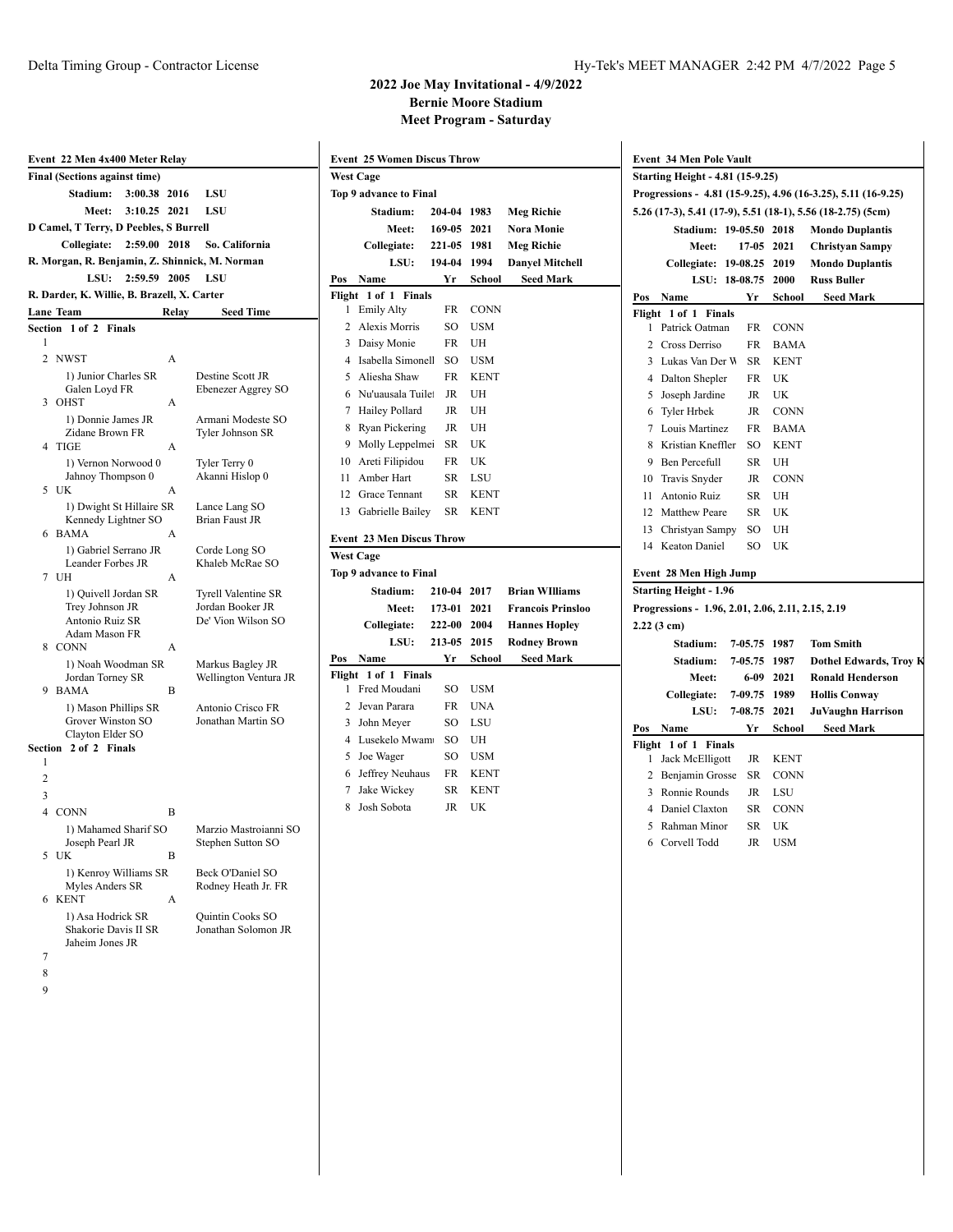#### **2022 Joe May Invitational - 4/9/2022 Bernie Moore Stadium Meet Program - Saturday**

**Stadium: 204-04 1983 Meg Richie Meet: 169-05 2021 Nora Monie Collegiate: 221-05 1981 Meg Richie LSU: 194-04 1994 Danyel Mitchell**

**Pos Name Yr School Seed Mark**

**Event 25 Women Discus Throw**

**Top 9 advance to Final**

**Flight 1 of 1 Finals**

**West Cage**

|                | Event 22 Men 4x400 Meter Relay                 |       |                                                |
|----------------|------------------------------------------------|-------|------------------------------------------------|
|                | <b>Final (Sections against time)</b>           |       |                                                |
|                | Stadium:<br>3:00.38                            | 2016  | LSU                                            |
|                | Meet:<br>3:10.25                               | 2021  | LSU                                            |
|                | D Camel, T Terry, D Peebles, S Burrell         |       |                                                |
|                | Collegiate:<br>2:59.00                         | 2018  | So. California                                 |
|                | R. Morgan, R. Benjamin, Z. Shinnick, M. Norman |       |                                                |
|                | 2:59.59<br>LSU:                                | 2005  | LSU                                            |
|                | R. Darder, K. Willie, B. Brazell, X. Carter    |       |                                                |
|                | Lane Team                                      | Relay | <b>Seed Time</b>                               |
| Section        | $1$ of $2$<br>Finals                           |       |                                                |
| 1              |                                                |       |                                                |
| 2              | <b>NWST</b>                                    | A     |                                                |
|                | 1) Junior Charles SR                           |       | Destine Scott JR                               |
| 3              | Galen Loyd FR<br><b>OHST</b>                   | Α     | Ebenezer Aggrey SO                             |
|                | 1) Donnie James JR                             |       | Armani Modeste SO                              |
|                | Zidane Brown FR                                |       | Tyler Johnson SR                               |
| 4              | <b>TIGE</b>                                    | А     |                                                |
|                | 1) Vernon Norwood 0                            |       | Tyler Terry 0                                  |
| 5              | Jahnoy Thompson 0<br>UK                        | А     | Akanni Hislop 0                                |
|                | 1) Dwight St Hillaire SR                       |       | Lance Lang SO                                  |
|                | Kennedy Lightner SO                            |       | <b>Brian Faust JR</b>                          |
| 6              | <b>BAMA</b>                                    | А     |                                                |
|                | 1) Gabriel Serrano JR                          |       | Corde Long SO                                  |
|                | Leander Forbes JR                              |       | Khaleb McRae SO                                |
| 7              | UH                                             | A     |                                                |
|                | 1) Quivell Jordan SR<br>Trey Johnson JR        |       | <b>Tyrell Valentine SR</b><br>Jordan Booker JR |
|                | Antonio Ruiz SR                                |       | De' Vion Wilson SO                             |
|                | Adam Mason FR                                  |       |                                                |
| 8              | <b>CONN</b>                                    | A     |                                                |
|                | 1) Noah Woodman SR<br>Jordan Torney SR         |       | Markus Bagley JR                               |
| 9              | <b>BAMA</b>                                    | Β     | Wellington Ventura JR                          |
|                | 1) Mason Phillips SR                           |       | Antonio Crisco FR                              |
|                | Grover Winston SO                              |       | Jonathan Martin SO                             |
|                | Clayton Elder SO<br>2 of 2 Finals              |       |                                                |
| Section<br>1   |                                                |       |                                                |
| $\overline{c}$ |                                                |       |                                                |
| 3              |                                                |       |                                                |
| 4              | <b>CONN</b>                                    | В     |                                                |
|                | 1) Mahamed Sharif SO                           |       | Marzio Mastroianni SO                          |
|                | Joseph Pearl JR                                |       | Stephen Sutton SO                              |
| 5              | UK                                             | В     |                                                |
|                | 1) Kenroy Williams SR                          |       | Beck O'Daniel SO                               |
| 6              | Myles Anders SR<br><b>KENT</b>                 | A     | Rodney Heath Jr. FR                            |
|                | 1) Asa Hodrick SR                              |       | Quintin Cooks SO                               |
|                | Shakorie Davis II SR                           |       | Jonathan Solomon JR                            |
| 7              | Jaheim Jones JR                                |       |                                                |
|                |                                                |       |                                                |

- 7
- 8 9

|                | <b>Event 34 Men Pole Vault</b>                    |             |             |                                                               |
|----------------|---------------------------------------------------|-------------|-------------|---------------------------------------------------------------|
|                | <b>Starting Height - 4.81 (15-9.25)</b>           |             |             |                                                               |
|                |                                                   |             |             | Progressions - 4.81 (15-9.25), 4.96 (16-3.25), 5.11 (16-9.25) |
|                |                                                   |             |             | 5.26 (17-3), 5.41 (17-9), 5.51 (18-1), 5.56 (18-2.75) (5cm)   |
|                | Stadium: 19-05.50 2018                            |             |             | <b>Mondo Duplantis</b>                                        |
|                | Meet:                                             | $17-05$     | 2021        | <b>Christyan Sampy</b>                                        |
|                | <b>Collegiate: 19-08.25</b>                       |             | 2019        | <b>Mondo Duplantis</b>                                        |
|                | LSU: 18-08.75                                     |             | 2000        | <b>Russ Buller</b>                                            |
| Pos            | Name                                              | Yr          | School      | <b>Seed Mark</b>                                              |
| Flight         | $1$ of $1$<br><b>Finals</b>                       |             |             |                                                               |
| 1              | Patrick Oatman                                    | FR          | <b>CONN</b> |                                                               |
| $\mathfrak{D}$ | Cross Derriso                                     | FR          | <b>BAMA</b> |                                                               |
| 3              | Lukas Van Der W                                   | SR          | <b>KENT</b> |                                                               |
|                | 4 Dalton Shepler                                  | FR          | UK          |                                                               |
| 5              | Joseph Jardine                                    | <b>JR</b>   | UK          |                                                               |
| 6              | Tyler Hrbek                                       | <b>JR</b>   | <b>CONN</b> |                                                               |
| 7              | Louis Martinez                                    | FR          | <b>BAMA</b> |                                                               |
| 8              | Kristian Kneffler                                 | SO          | <b>KENT</b> |                                                               |
| 9              | Ben Percefull                                     | SR          | UH          |                                                               |
| 10             | Travis Snyder                                     | JR          | <b>CONN</b> |                                                               |
| 11             | Antonio Ruiz                                      | SR          | UH          |                                                               |
|                | 12 Matthew Peare                                  | SR          | UK          |                                                               |
| 13             | Christyan Sampy                                   | SO          | UH          |                                                               |
|                | 14 Keaton Daniel                                  | SO.         | UK          |                                                               |
|                | <b>Event 28 Men High Jump</b>                     |             |             |                                                               |
|                | <b>Starting Height - 1.96</b>                     |             |             |                                                               |
|                | Progressions - 1.96, 2.01, 2.06, 2.11, 2.15, 2.19 |             |             |                                                               |
|                | $2.22(3 \text{ cm})$                              |             |             |                                                               |
|                | Stadium:                                          | 7-05.75     | 1987        | <b>Tom Smith</b>                                              |
|                | Stadium:                                          | $7 - 05.75$ | 1987        | <b>Dothel Edwards, Troy K</b>                                 |
|                | <b>Meet:</b>                                      | 6-09        | 2021        | <b>Ronald Henderson</b>                                       |
|                | Collegiate:                                       | 7-09.75     | 1989        | <b>Hollis Conway</b>                                          |
|                | LSU:                                              | 7-08.75     | 2021        | JuVaughn Harrison                                             |
| Pos            | Name                                              | Yr          | School      | <b>Seed Mark</b>                                              |
|                | Flight 1 of 1<br><b>Finals</b>                    |             |             |                                                               |
| 1              | Jack McElligott                                   | JR          | <b>KENT</b> |                                                               |
| 2              | Benjamin Grosse                                   | SR          | <b>CONN</b> |                                                               |
| 3              | Ronnie Rounds                                     | JR          | LSU         |                                                               |
| 4              | Daniel Claxton                                    | <b>SR</b>   | <b>CONN</b> |                                                               |
| 5              | Rahman Minor                                      | <b>SR</b>   | UK          |                                                               |
|                | 6 Corvell Todd                                    | JR          | <b>USM</b>  |                                                               |
|                |                                                   |             |             |                                                               |

1 Emily Alty FR CONN 2 Alexis Morris SO USM 3 Daisy Monie FR UH 4 Isabella Simonell SO USM 5 Aliesha Shaw FR KENT  $6$  Nu'uausala Tuile $1$  JR UH 7 Hailey Pollard JR UH 8 Ryan Pickering JR UH 9 Molly Leppelmei SR UK 10 Areti Filipidou FR UK 11 Amber Hart SR LSU 12 Grace Tennant SR KENT 13 Gabrielle Bailey SR KENT **Event 23 Men Discus Throw West Cage Top 9 advance to Final Stadium: 210-04 2017 Brian WIlliams Meet: 173-01 2021 Francois Prinsloo Collegiate: 222-00 2004 Hannes Hopley LSU: 213-05 2015 Rodney Brown Pos Name Yr School Seed Mark Flight 1 of 1 Finals** 1 Fred Moudani SO USM 2 Jevan Parara FR UNA 3 John Meyer SO LSU 4 Lusekelo Mwamu SO UH 5 Joe Wager SO USM 6 Jeffrey Neuhaus FR KENT 7 Jake Wickey SR KENT 8 Josh Sobota JR UK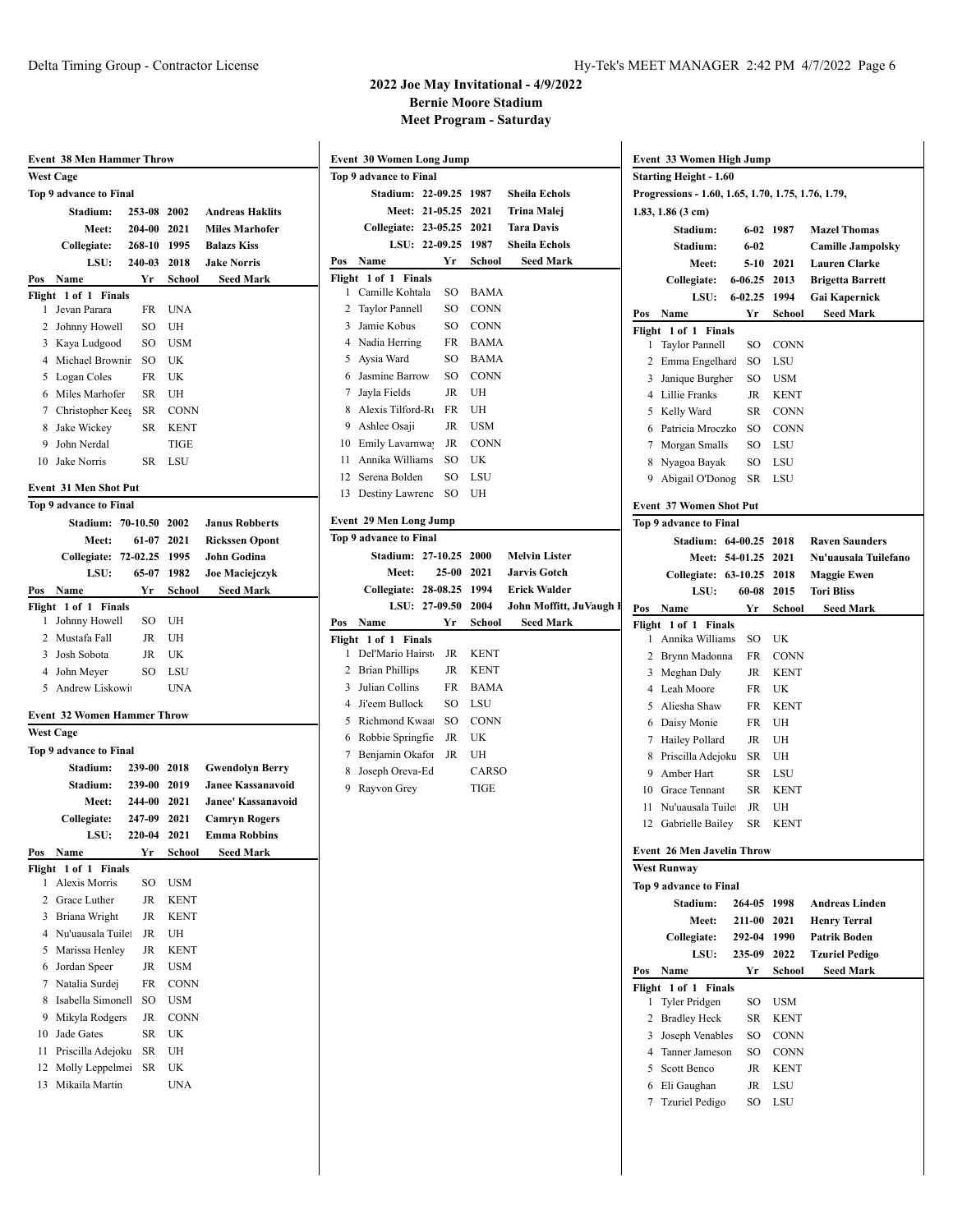## Delta Timing Group - Contractor License **Hy-Tek's MEET MANAGER** 2:42 PM 4/7/2022 Page 6

 $\overline{\phantom{a}}$ 

 $\mathbf{I}$ 

#### **2022 Joe May Invitational - 4/9/2022 Bernie Moore Stadium Meet Program - Saturday**

|               | <b>Event 38 Men Hammer Throw</b>    |             |              |                                             |
|---------------|-------------------------------------|-------------|--------------|---------------------------------------------|
|               | <b>West Cage</b>                    |             |              |                                             |
|               | Top 9 advance to Final              |             |              |                                             |
|               | Stadium:                            | 253-08      | 2002         | <b>Andreas Haklits</b>                      |
|               | <b>Meet:</b>                        | 204-00      | 2021         | <b>Miles Marhofer</b>                       |
|               | Collegiate:                         | 268-10 1995 |              | <b>Balazs Kiss</b>                          |
|               | LSU:                                | 240-03      | 2018         | <b>Jake Norris</b>                          |
| Pos           | Name                                | Yr          | School       | <b>Seed Mark</b>                            |
| Flight        | 1 of 1 Finals                       |             |              |                                             |
| 1             | Jevan Parara                        | FR          | <b>UNA</b>   |                                             |
| 2             | Johnny Howell                       | SO          | UH           |                                             |
| 3             | Kaya Ludgood                        | SO          | <b>USM</b>   |                                             |
| 4             | Michael Brownir                     | SO          | UK           |                                             |
|               | 5 Logan Coles                       | FR          | UK           |                                             |
| 6             | Miles Marhofer                      | SR          | UH           |                                             |
| 7             | Christopher Kees                    | SR          | <b>CONN</b>  |                                             |
| 8             | Jake Wickey                         | SR          | <b>KENT</b>  |                                             |
| 9             | John Nerdal                         |             | TIGE         |                                             |
| 10            | Jake Norris                         | SR          | LSU          |                                             |
|               | <b>Event 31 Men Shot Put</b>        |             |              |                                             |
|               | <b>Top 9 advance to Final</b>       |             |              |                                             |
|               | Stadium: 70-10.50                   |             |              |                                             |
|               |                                     |             | 2002         | <b>Janus Robberts</b>                       |
|               | <b>Meet:</b>                        | 61-07       | 2021         | <b>Rickssen Opont</b><br><b>John Godina</b> |
|               | Collegiate: 72-02.25<br>LSU:        | 65-07       | 1995<br>1982 | <b>Joe Maciejczyk</b>                       |
|               |                                     |             |              |                                             |
| Pos<br>Flight | Name<br>1 of 1 Finals               | Yr          | School       | Seed Mark                                   |
| 1             | Johnny Howell                       | SO          | UH           |                                             |
|               | 2 Mustafa Fall                      | JR          | UH           |                                             |
| 3             | Josh Sobota                         | JR          | UK           |                                             |
| 4             | John Meyer                          | SO          | LSU          |                                             |
| 5             | Andrew Liskowi                      |             | <b>UNA</b>   |                                             |
|               |                                     |             |              |                                             |
|               | <b>Event 32 Women Hammer Throw</b>  |             |              |                                             |
|               | <b>West Cage</b>                    |             |              |                                             |
|               | Top 9 advance to Final              |             |              |                                             |
|               | Stadium:                            | 239-00 2018 |              | <b>Gwendolyn Berry</b>                      |
|               | Stadium:                            | 239-00      | 2019         | <b>Janee Kassanavoid</b>                    |
|               | <b>Meet:</b>                        | 244-00 2021 |              | <b>Janee' Kassanavoid</b>                   |
|               | Collegiate:                         | 247-09      | 2021         | <b>Camryn Rogers</b>                        |
|               | LSU:                                | 220-04      | 2021         | <b>Emma Robbins</b>                         |
| Pos           | <b>Name</b>                         | Yr          | School       | Seed Mark                                   |
| Flight        | 1 of 1<br><b>Finals</b>             |             |              |                                             |
| 1             | Alexis Morris                       | SO          | USM          |                                             |
| 2<br>3        | Grace Luther                        | JR          | KENT         |                                             |
| 4             | Briana Wright                       | JR<br>JR    | KENT<br>UH   |                                             |
| 5             | Nu'uausala Tuile:<br>Marissa Henley | JR          |              |                                             |
|               |                                     |             | KENT         |                                             |
| 6<br>7        | Jordan Speer<br>Natalia Surdej      | JR<br>FR    | USM<br>CONN  |                                             |
| 8             | Isabella Simonell                   | SO          | USM          |                                             |
| 9             | Mikyla Rodgers                      | JR          | CONN         |                                             |
| 10            | Jade Gates                          | SR          | UK           |                                             |
| 11            | Priscilla Adejoku                   | SR          | UH           |                                             |
| 12            | Molly Leppelmei                     | SR          | UK           |                                             |
| 13            | Mikaila Martin                      |             | UNA          |                                             |
|               |                                     |             |              |                                             |

|     | <b>Event 30 Women Long Jump</b>              |           |              |                         |                | Event 33 V         |
|-----|----------------------------------------------|-----------|--------------|-------------------------|----------------|--------------------|
|     | Top 9 advance to Final                       |           |              |                         |                | <b>Starting Ho</b> |
|     | Stadium: 22-09.25 1987                       |           |              | <b>Sheila Echols</b>    |                | Progression        |
|     | Meet: 21-05.25                               |           | 2021         | <b>Trina Malej</b>      |                | $1.83, 1.86$ (3)   |
|     | <b>Collegiate: 23-05.25</b>                  |           | 2021         | <b>Tara Davis</b>       |                | St:                |
|     | LSU: 22-09.25                                |           | 1987         | <b>Sheila Echols</b>    |                | St:                |
| Pos | Name                                         | Yr        | School       | <b>Seed Mark</b>        |                |                    |
|     | Flight 1 of 1 Finals                         |           |              |                         |                | Coll               |
| 1   | Camille Kohtala                              | SO        | <b>BAMA</b>  |                         |                |                    |
| 2   | Taylor Pannell                               | SO        | <b>CONN</b>  |                         | Pos            | Nam                |
| 3   | Jamie Kobus                                  | SO.       | <b>CONN</b>  |                         |                | Flight 1 of        |
| 4   | Nadia Herring                                | FR        | <b>BAMA</b>  |                         | 1              | Taylo              |
| 5   | Aysia Ward                                   | SO        | <b>BAMA</b>  |                         | 2              | Emm                |
| 6   | Jasmine Barrow                               | SO        | <b>CONN</b>  |                         | 3              | Janiq              |
| 7   | Jayla Fields                                 | <b>JR</b> | UH           |                         |                | 4 Lillie           |
| 8   | Alexis Tilford-Ru                            | FR        | UH           |                         | 5              | Kelly              |
| 9   | Ashlee Osaji                                 | JR        | USM          |                         | 6              | Patric             |
| 10  | Emily Lavarnwa                               | JR        | <b>CONN</b>  |                         | 7              | Morg               |
| 11  | Annika Williams                              | SO        | UK           |                         | 8              | Nyag               |
| 12  | Serena Bolden                                | SO        | LSU          |                         | 9              | Abiga              |
| 13  | Destiny Lawrenc                              | SO        | UH           |                         |                |                    |
|     | <b>Event 29 Men Long Jump</b>                |           |              |                         |                | Event 37 V         |
|     | Top 9 advance to Final                       |           |              |                         |                | Top 9 adva         |
|     | Stadium: 27-10.25 2000                       |           |              | <b>Melvin Lister</b>    |                | St:                |
|     | Meet:                                        | 25-00     | 2021         | <b>Jarvis Gotch</b>     |                |                    |
|     |                                              |           |              |                         |                | Coll               |
|     | <b>Collegiate: 28-08.25</b><br>LSU: 27-09.50 |           | 1994<br>2004 | <b>Erick Walder</b>     |                |                    |
|     |                                              |           |              | John Moffitt, JuVaugh I | Pos            | Nam                |
| Pos | Name                                         | Yr        | School       | <b>Seed Mark</b>        |                | Flight 1 of        |
| 1   | Flight 1 of 1 Finals<br>Del'Mario Hairst     | <b>JR</b> | <b>KENT</b>  |                         | 1              | Annil              |
| 2   |                                              | JR        | <b>KENT</b>  |                         | $\overline{c}$ | Bryni              |
| 3   | <b>Brian Phillips</b><br>Julian Collins      | FR        | <b>BAMA</b>  |                         | 3              | Megh               |
| 4   | Ji'eem Bullock                               | SO.       | LSU          |                         | 4              | Leah               |
|     |                                              |           |              |                         | 5              | Alies!             |
| 5   | Richmond Kwaat                               | SO        | <b>CONN</b>  |                         | 6              | Daisy              |
| 6   | Robbie Springfie                             | JR        | UK           |                         | 7              | Haile              |
| 7   | Benjamin Okafor                              | <b>JR</b> | UH           |                         | 8              | Prisci             |
| 8   | Joseph Oreva-Ed                              |           | CARSO        |                         | 9              | Ambe               |
| 9   | Rayvon Grey                                  |           | TIGE         |                         | 10             | Grace              |
|     |                                              |           |              |                         | 11             | Nu'ua              |
|     |                                              |           |              |                         |                | $\sim$ 1 $\cdot$   |

| Event 33 Women High Jump<br><b>Starting Height - 1.60</b><br>Progressions - 1.60, 1.65, 1.70, 1.75, 1.76, 1.79, |                                        |                     |             |                          |  |  |  |  |
|-----------------------------------------------------------------------------------------------------------------|----------------------------------------|---------------------|-------------|--------------------------|--|--|--|--|
|                                                                                                                 |                                        |                     |             |                          |  |  |  |  |
|                                                                                                                 | $1.83, 1.86$ (3 cm)                    |                     |             |                          |  |  |  |  |
|                                                                                                                 | Stadium:                               | $6 - 02$            | 1987        | <b>Mazel Thomas</b>      |  |  |  |  |
|                                                                                                                 | Stadium:                               | $6 - 02$            |             | <b>Camille Jampolsky</b> |  |  |  |  |
|                                                                                                                 | <b>Meet:</b>                           | 5-10                | 2021        | <b>Lauren Clarke</b>     |  |  |  |  |
|                                                                                                                 | <b>Collegiate:</b>                     | $6 - 06.25$         | 2013        | <b>Brigetta Barrett</b>  |  |  |  |  |
|                                                                                                                 | LSU:                                   | 6-02.25             | 1994        | Gai Kapernick            |  |  |  |  |
|                                                                                                                 |                                        |                     |             |                          |  |  |  |  |
| Pos                                                                                                             | Name                                   | Yr                  | School      | Seed Mark                |  |  |  |  |
| Flight<br>1                                                                                                     | 1 of 1 Finals<br><b>Taylor Pannell</b> | SO                  | <b>CONN</b> |                          |  |  |  |  |
| 2                                                                                                               | Emma Engelhard                         | SO                  | LSU         |                          |  |  |  |  |
|                                                                                                                 |                                        | SO                  | <b>USM</b>  |                          |  |  |  |  |
| 3                                                                                                               | Janique Burgher                        |                     |             |                          |  |  |  |  |
|                                                                                                                 | 4 Lillie Franks                        | JR                  | <b>KENT</b> |                          |  |  |  |  |
| 5                                                                                                               | Kelly Ward                             | SR                  | <b>CONN</b> |                          |  |  |  |  |
|                                                                                                                 | 6 Patricia Mroczko                     | SO                  | <b>CONN</b> |                          |  |  |  |  |
| 7                                                                                                               | Morgan Smalls                          | SO                  | LSU         |                          |  |  |  |  |
| 8                                                                                                               | Nyagoa Bayak                           | SO                  | LSU         |                          |  |  |  |  |
| 9                                                                                                               | Abigail O'Donog                        | SR                  | LSU         |                          |  |  |  |  |
|                                                                                                                 |                                        |                     |             |                          |  |  |  |  |
|                                                                                                                 | Event 37 Women Shot Put                |                     |             |                          |  |  |  |  |
|                                                                                                                 | Top 9 advance to Final                 |                     |             |                          |  |  |  |  |
|                                                                                                                 | Stadium: 64-00.25 2018                 |                     |             | <b>Raven Saunders</b>    |  |  |  |  |
|                                                                                                                 |                                        | Meet: 54-01.25 2021 |             | Nu'uausala Tuilefano     |  |  |  |  |
|                                                                                                                 | Collegiate: 63-10.25                   |                     | 2018        | <b>Maggie Ewen</b>       |  |  |  |  |
|                                                                                                                 | LSU:                                   | 60-08               | 2015        | <b>Tori Bliss</b>        |  |  |  |  |
| Pos                                                                                                             | Name                                   | Yr                  | School      | <b>Seed Mark</b>         |  |  |  |  |
| Flight                                                                                                          | 1 of 1 Finals                          |                     |             |                          |  |  |  |  |
| 1                                                                                                               | Annika Williams                        | SO                  | UK          |                          |  |  |  |  |
| 2                                                                                                               | Brynn Madonna                          | FR                  | <b>CONN</b> |                          |  |  |  |  |
| 3                                                                                                               | Meghan Daly                            | JR                  | <b>KENT</b> |                          |  |  |  |  |
| $\overline{4}$                                                                                                  | Leah Moore                             | FR                  | UK          |                          |  |  |  |  |
| 5                                                                                                               | Aliesha Shaw                           | FR                  | <b>KENT</b> |                          |  |  |  |  |
| 6                                                                                                               | Daisy Monie                            | FR                  | UH          |                          |  |  |  |  |
| 7                                                                                                               | Hailey Pollard                         | JR                  | UH          |                          |  |  |  |  |
| 8                                                                                                               | Priscilla Adejoku                      | SR                  | UH          |                          |  |  |  |  |
| 9.                                                                                                              | Amber Hart                             | SR                  | LSU         |                          |  |  |  |  |
|                                                                                                                 | 10 Grace Tennant                       |                     | <b>KENT</b> |                          |  |  |  |  |
|                                                                                                                 |                                        | SR                  |             |                          |  |  |  |  |
| 11                                                                                                              | Nu'uausala Tuile:                      | <b>JR</b>           | UH          |                          |  |  |  |  |
| 12                                                                                                              | Gabrielle Bailey                       | SR                  | <b>KENT</b> |                          |  |  |  |  |
|                                                                                                                 | <b>Event 26 Men Javelin Throw</b>      |                     |             |                          |  |  |  |  |
|                                                                                                                 | <b>West Runway</b>                     |                     |             |                          |  |  |  |  |
|                                                                                                                 | Top 9 advance to Final                 |                     |             |                          |  |  |  |  |
|                                                                                                                 |                                        |                     |             |                          |  |  |  |  |
|                                                                                                                 | Stadium:                               | 264-05              | 1998        | <b>Andreas Linden</b>    |  |  |  |  |
|                                                                                                                 | Meet:                                  | 211-00              | 2021        | <b>Henry Terral</b>      |  |  |  |  |
|                                                                                                                 | Collegiate:                            | 292-04              | 1990        | <b>Patrik Boden</b>      |  |  |  |  |
|                                                                                                                 | LSU:                                   | 235-09              | 2022        | <b>Tzuriel Pedigo</b>    |  |  |  |  |
| Pos                                                                                                             | Name                                   | Yr                  | School      | <b>Seed Mark</b>         |  |  |  |  |
| Flight                                                                                                          | 1 of 1<br><b>Finals</b>                |                     |             |                          |  |  |  |  |
| 1                                                                                                               | Tyler Pridgen                          | SO                  | USM         |                          |  |  |  |  |
| 2                                                                                                               | <b>Bradley Heck</b>                    | SR                  | KENT        |                          |  |  |  |  |
| 3                                                                                                               | Joseph Venables                        | SO                  | <b>CONN</b> |                          |  |  |  |  |
| 4                                                                                                               | Tanner Jameson                         | SO                  | <b>CONN</b> |                          |  |  |  |  |
| 5                                                                                                               | Scott Benco                            | JR                  | <b>KENT</b> |                          |  |  |  |  |
| 6                                                                                                               | Eli Gaughan                            | JR                  | LSU         |                          |  |  |  |  |
| 7                                                                                                               | Tzuriel Pedigo                         | SO                  | LSU         |                          |  |  |  |  |
|                                                                                                                 |                                        |                     |             |                          |  |  |  |  |
|                                                                                                                 |                                        |                     |             |                          |  |  |  |  |
|                                                                                                                 |                                        |                     |             |                          |  |  |  |  |
|                                                                                                                 |                                        |                     |             |                          |  |  |  |  |